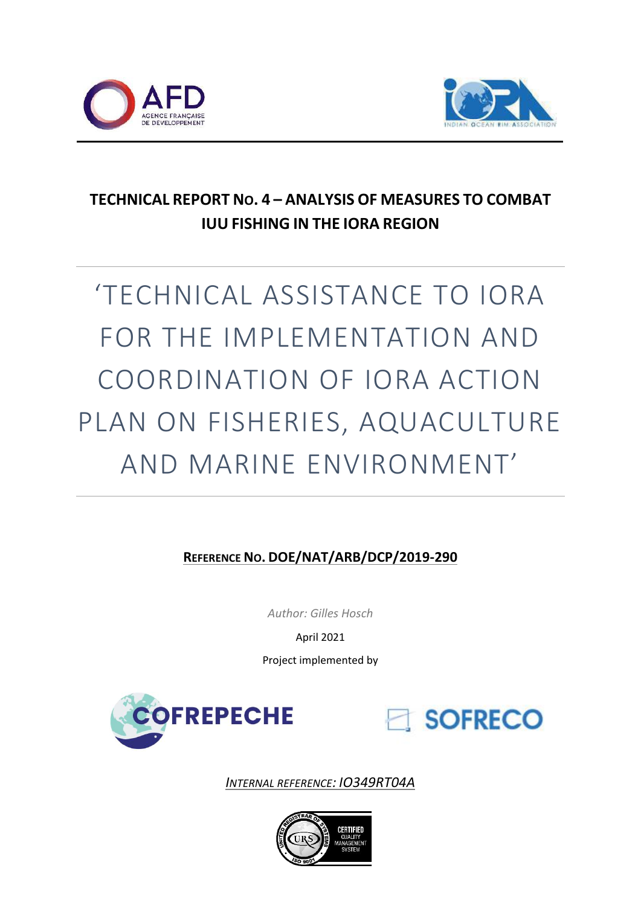



### **TECHNICAL REPORT NO. 4 – ANALYSIS OF MEASURES TO COMBAT IUU FISHING IN THE IORA REGION**

# 'TECHNICAL ASSISTANCE TO IORA FOR THE IMPLEMENTATION AND COORDINATION OF IORA ACTION PLAN ON FISHERIES, AQUACULTURE AND MARINE ENVIRONMENT'

#### **REFERENCE NO. DOE/NAT/ARB/DCP/2019-290**

*Author: Gilles Hosch*

April 2021

Project implemented by





*INTERNAL REFERENCE: IO349RT04A*

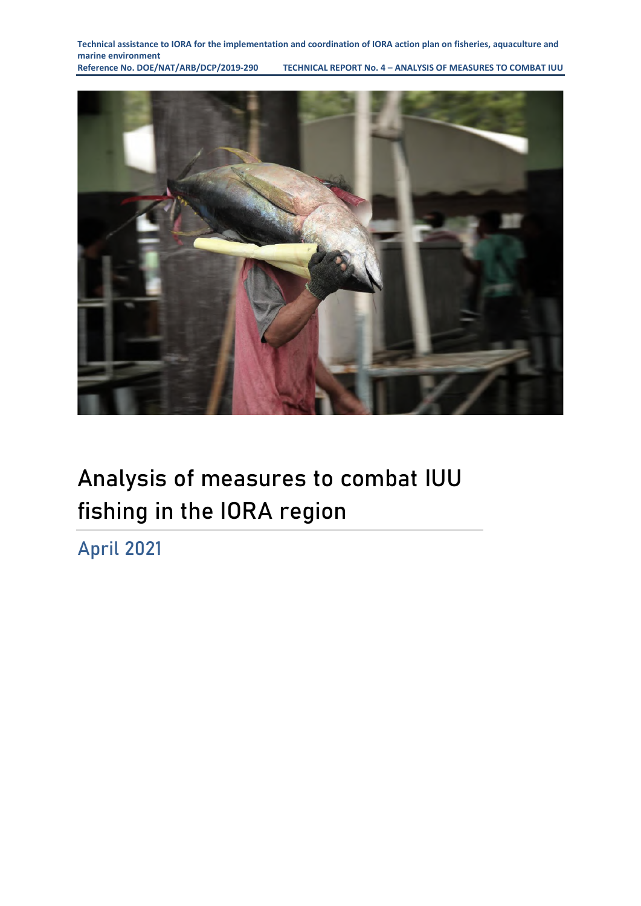**Technical assistance to IORA for the implementation and coordination of IORA action plan on fisheries, aquaculture and**  marine environment<br>Reference No. DOE/NAT/ARB/DCP/2019-290

**RECHNICAL REPORT No. 4 - ANALYSIS OF MEASURES TO COMBAT IUU** 



## **Analysis of measures to combat IUU fishing in the IORA region**

**April 2021**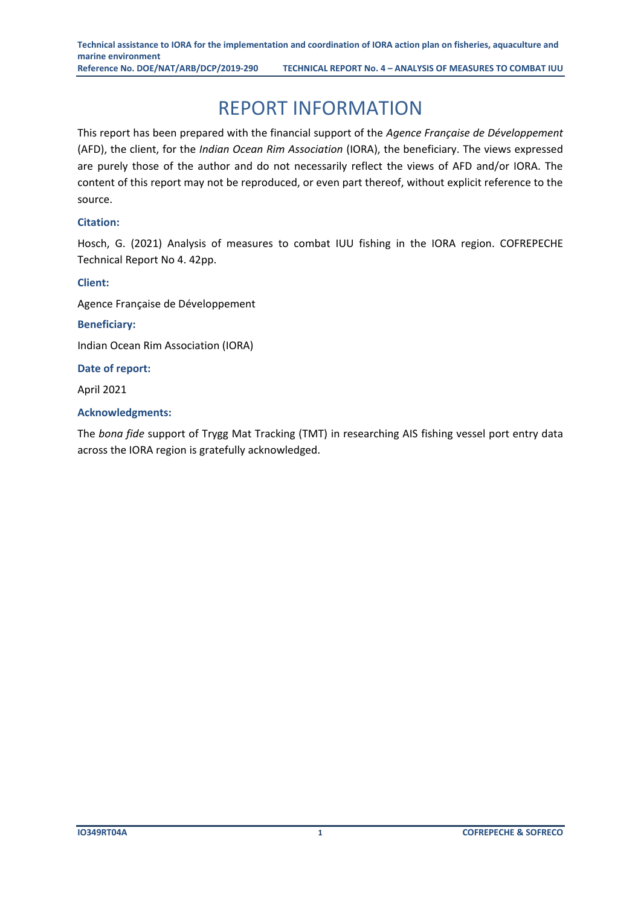### REPORT INFORMATION

<span id="page-2-0"></span>This report has been prepared with the financial support of the *Agence Française de Développement* (AFD), the client, for the *Indian Ocean Rim Association* (IORA), the beneficiary. The views expressed are purely those of the author and do not necessarily reflect the views of AFD and/or IORA. The content of this report may not be reproduced, or even part thereof, without explicit reference to the source.

#### **Citation:**

Hosch, G. (2021) Analysis of measures to combat IUU fishing in the IORA region. COFREPECHE Technical Report No 4. 42pp.

#### **Client:**

Agence Française de Développement

#### **Beneficiary:**

Indian Ocean Rim Association (IORA)

**Date of report:**

April 2021

#### **Acknowledgments:**

The *bona fide* support of Trygg Mat Tracking (TMT) in researching AIS fishing vessel port entry data across the IORA region is gratefully acknowledged.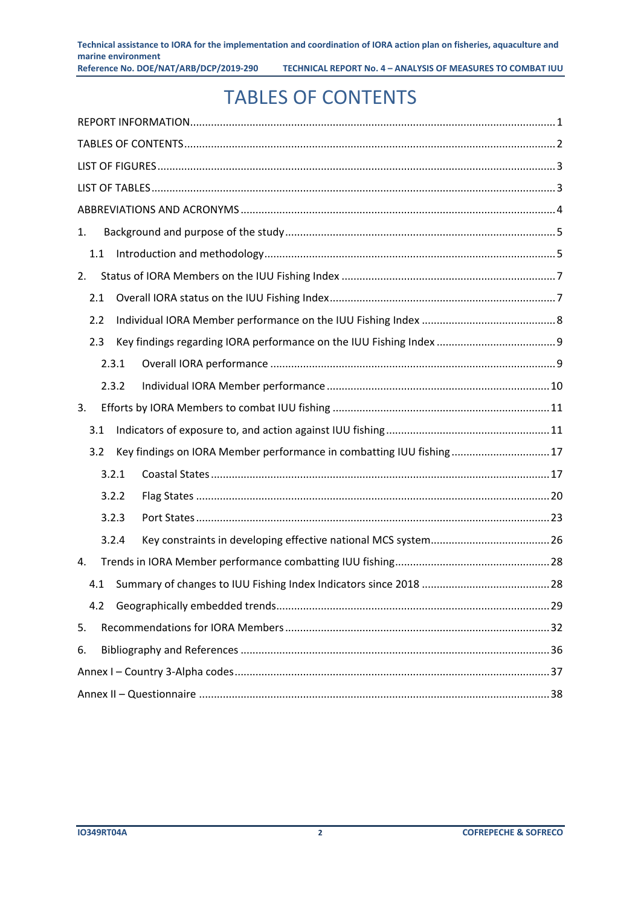### TABLES OF CONTENTS

<span id="page-3-0"></span>

| 1. |     |       |                                                                     |  |
|----|-----|-------|---------------------------------------------------------------------|--|
|    | 1.1 |       |                                                                     |  |
| 2. |     |       |                                                                     |  |
|    | 2.1 |       |                                                                     |  |
|    | 2.2 |       |                                                                     |  |
|    | 2.3 |       |                                                                     |  |
|    |     | 2.3.1 |                                                                     |  |
|    |     | 2.3.2 |                                                                     |  |
| 3. |     |       |                                                                     |  |
|    | 3.1 |       |                                                                     |  |
|    | 3.2 |       | Key findings on IORA Member performance in combatting IUU fishing17 |  |
|    |     | 3.2.1 |                                                                     |  |
|    |     | 3.2.2 |                                                                     |  |
|    |     | 3.2.3 |                                                                     |  |
|    |     | 3.2.4 |                                                                     |  |
| 4. |     |       |                                                                     |  |
|    | 4.1 |       |                                                                     |  |
|    | 4.2 |       |                                                                     |  |
| 5. |     |       |                                                                     |  |
| 6. |     |       |                                                                     |  |
|    |     |       |                                                                     |  |
|    |     |       |                                                                     |  |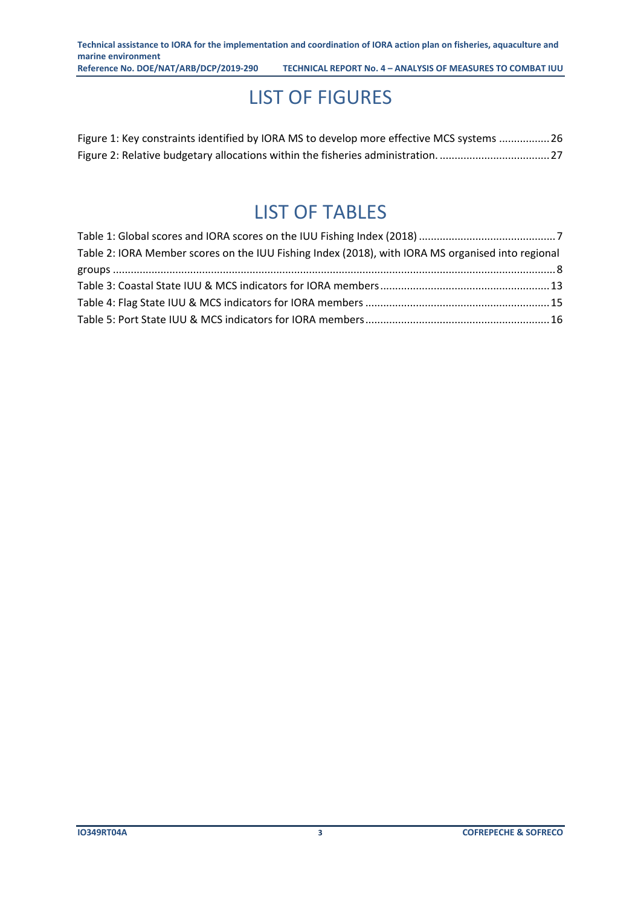### LIST OF FIGURES

<span id="page-4-0"></span>

| Figure 1: Key constraints identified by IORA MS to develop more effective MCS systems 26 |  |
|------------------------------------------------------------------------------------------|--|
| Figure 2: Relative budgetary allocations within the fisheries administration27           |  |

### LIST OF TABLES

<span id="page-4-1"></span>

| Table 2: IORA Member scores on the IUU Fishing Index (2018), with IORA MS organised into regional |  |
|---------------------------------------------------------------------------------------------------|--|
|                                                                                                   |  |
|                                                                                                   |  |
|                                                                                                   |  |
|                                                                                                   |  |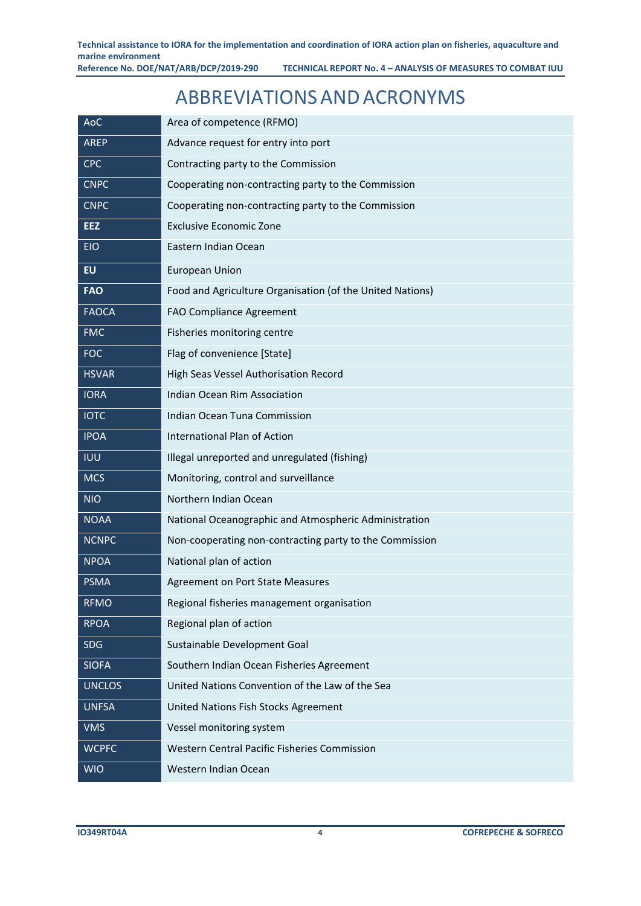### ABBREVIATIONSANDACRONYMS

<span id="page-5-0"></span>

| AoC           | Area of competence (RFMO)                                 |
|---------------|-----------------------------------------------------------|
| <b>AREP</b>   | Advance request for entry into port                       |
| <b>CPC</b>    | Contracting party to the Commission                       |
| <b>CNPC</b>   | Cooperating non-contracting party to the Commission       |
| <b>CNPC</b>   | Cooperating non-contracting party to the Commission       |
| <b>EEZ</b>    | <b>Exclusive Economic Zone</b>                            |
| <b>EIO</b>    | Eastern Indian Ocean                                      |
| <b>EU</b>     | <b>European Union</b>                                     |
| <b>FAO</b>    | Food and Agriculture Organisation (of the United Nations) |
| <b>FAOCA</b>  | <b>FAO Compliance Agreement</b>                           |
| <b>FMC</b>    | Fisheries monitoring centre                               |
| <b>FOC</b>    | Flag of convenience [State]                               |
| <b>HSVAR</b>  | High Seas Vessel Authorisation Record                     |
| <b>IORA</b>   | Indian Ocean Rim Association                              |
| <b>IOTC</b>   | Indian Ocean Tuna Commission                              |
| <b>IPOA</b>   | International Plan of Action                              |
| <b>IUU</b>    | Illegal unreported and unregulated (fishing)              |
| <b>MCS</b>    | Monitoring, control and surveillance                      |
| <b>NIO</b>    | Northern Indian Ocean                                     |
| <b>NOAA</b>   | National Oceanographic and Atmospheric Administration     |
| <b>NCNPC</b>  | Non-cooperating non-contracting party to the Commission   |
| <b>NPOA</b>   | National plan of action                                   |
| <b>PSMA</b>   | <b>Agreement on Port State Measures</b>                   |
| <b>RFMO</b>   | Regional fisheries management organisation                |
| <b>RPOA</b>   | Regional plan of action                                   |
| SDG           | Sustainable Development Goal                              |
| <b>SIOFA</b>  | Southern Indian Ocean Fisheries Agreement                 |
| <b>UNCLOS</b> | United Nations Convention of the Law of the Sea           |
| <b>UNFSA</b>  | United Nations Fish Stocks Agreement                      |
| <b>VMS</b>    | Vessel monitoring system                                  |
| <b>WCPFC</b>  | <b>Western Central Pacific Fisheries Commission</b>       |
| <b>WIO</b>    | Western Indian Ocean                                      |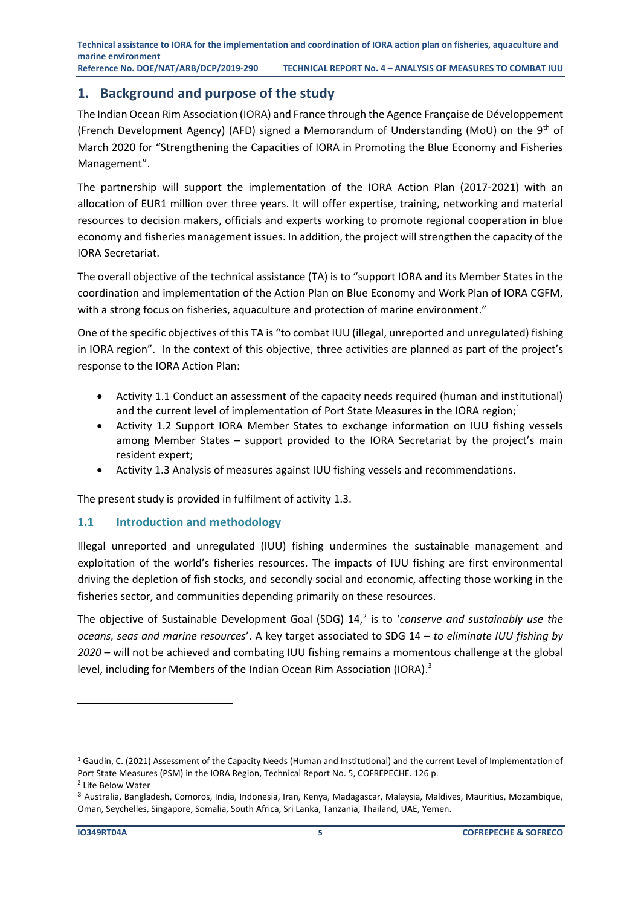**Technical assistance to IORA for the implementation and coordination of IORA action plan on fisheries, aquaculture and marine environment Reference No. DOE/NAT/ARB/DCP/2019-290 TECHNICAL REPORT No. 4 – ANALYSIS OF MEASURES TO COMBAT IUU**

#### <span id="page-6-0"></span>**1. Background and purpose of the study**

The Indian Ocean Rim Association (IORA) and France through the Agence Française de Développement (French Development Agency) (AFD) signed a Memorandum of Understanding (MoU) on the 9<sup>th</sup> of March 2020 for "Strengthening the Capacities of IORA in Promoting the Blue Economy and Fisheries Management".

The partnership will support the implementation of the IORA Action Plan (2017-2021) with an allocation of EUR1 million over three years. It will offer expertise, training, networking and material resources to decision makers, officials and experts working to promote regional cooperation in blue economy and fisheries management issues. In addition, the project will strengthen the capacity of the IORA Secretariat.

The overall objective of the technical assistance (TA) is to "support IORA and its Member States in the coordination and implementation of the Action Plan on Blue Economy and Work Plan of IORA CGFM, with a strong focus on fisheries, aquaculture and protection of marine environment."

One of the specific objectives of this TA is "to combat IUU (illegal, unreported and unregulated) fishing in IORA region". In the context of this objective, three activities are planned as part of the project's response to the IORA Action Plan:

- Activity 1.1 Conduct an assessment of the capacity needs required (human and institutional) and the current level of implementation of Port State Measures in the IORA region;<sup>1</sup>
- Activity 1.2 Support IORA Member States to exchange information on IUU fishing vessels among Member States – support provided to the IORA Secretariat by the project's main resident expert;
- Activity 1.3 Analysis of measures against IUU fishing vessels and recommendations.

The present study is provided in fulfilment of activity 1.3.

#### <span id="page-6-1"></span>**1.1 Introduction and methodology**

Illegal unreported and unregulated (IUU) fishing undermines the sustainable management and exploitation of the world's fisheries resources. The impacts of IUU fishing are first environmental driving the depletion of fish stocks, and secondly social and economic, affecting those working in the fisheries sector, and communities depending primarily on these resources.

The objective of Sustainable Development Goal (SDG) 14,<sup>2</sup> is to 'conserve and sustainably use the *oceans, seas and marine resources*'. A key target associated to SDG 14 – *to eliminate IUU fishing by 2020* – will not be achieved and combating IUU fishing remains a momentous challenge at the global level, including for Members of the Indian Ocean Rim Association (IORA).<sup>3</sup>

 $1$  Gaudin, C. (2021) Assessment of the Capacity Needs (Human and Institutional) and the current Level of Implementation of Port State Measures (PSM) in the IORA Region, Technical Report No. 5, COFREPECHE. 126 p.

<sup>2</sup> Life Below Water

<sup>3</sup> Australia, Bangladesh, Comoros, India, Indonesia, Iran, Kenya, Madagascar, Malaysia, Maldives, Mauritius, Mozambique, Oman, Seychelles, Singapore, Somalia, South Africa, Sri Lanka, Tanzania, Thailand, UAE, Yemen.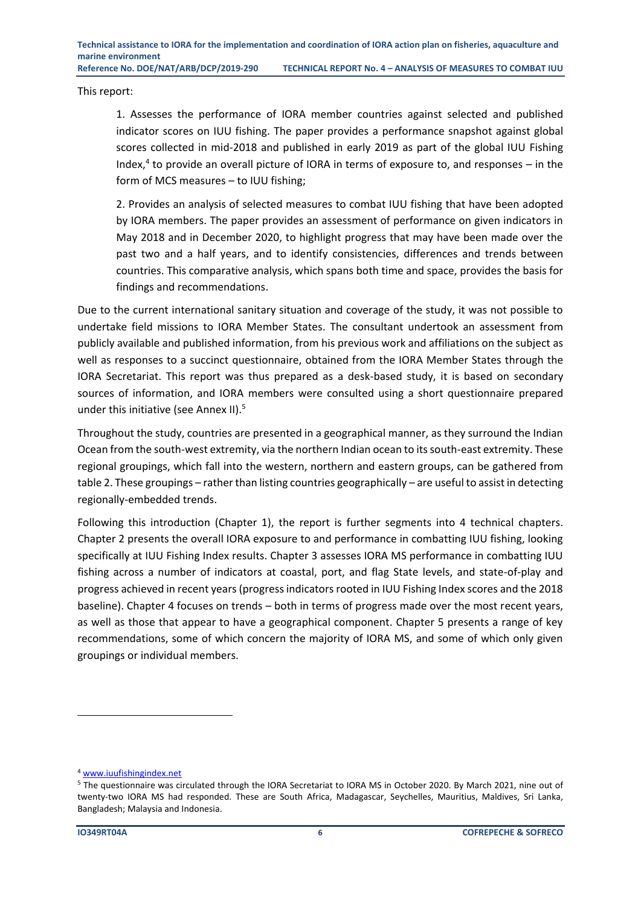This report:

1. Assesses the performance of IORA member countries against selected and published indicator scores on IUU fishing. The paper provides a performance snapshot against global scores collected in mid-2018 and published in early 2019 as part of the global IUU Fishing Index, $4$  to provide an overall picture of IORA in terms of exposure to, and responses  $-$  in the form of MCS measures – to IUU fishing;

2. Provides an analysis of selected measures to combat IUU fishing that have been adopted by IORA members. The paper provides an assessment of performance on given indicators in May 2018 and in December 2020, to highlight progress that may have been made over the past two and a half years, and to identify consistencies, differences and trends between countries. This comparative analysis, which spans both time and space, provides the basis for findings and recommendations.

Due to the current international sanitary situation and coverage of the study, it was not possible to undertake field missions to IORA Member States. The consultant undertook an assessment from publicly available and published information, from his previous work and affiliations on the subject as well as responses to a succinct questionnaire, obtained from the IORA Member States through the IORA Secretariat. This report was thus prepared as a desk-based study, it is based on secondary sources of information, and IORA members were consulted using a short questionnaire prepared under this initiative (see Annex II).<sup>5</sup>

Throughout the study, countries are presented in a geographical manner, as they surround the Indian Ocean from the south-west extremity, via the northern Indian ocean to its south-east extremity. These regional groupings, which fall into the western, northern and eastern groups, can be gathered from table 2. These groupings – rather than listing countries geographically – are useful to assist in detecting regionally-embedded trends.

Following this introduction (Chapter 1), the report is further segments into 4 technical chapters. Chapter 2 presents the overall IORA exposure to and performance in combatting IUU fishing, looking specifically at IUU Fishing Index results. Chapter 3 assesses IORA MS performance in combatting IUU fishing across a number of indicators at coastal, port, and flag State levels, and state-of-play and progress achieved in recent years (progress indicators rooted in IUU Fishing Index scores and the 2018 baseline). Chapter 4 focuses on trends – both in terms of progress made over the most recent years, as well as those that appear to have a geographical component. Chapter 5 presents a range of key recommendations, some of which concern the majority of IORA MS, and some of which only given groupings or individual members.

<sup>4</sup> [www.iuufishingindex.net](http://www.iuufishingindex.net/)

<sup>5</sup> The questionnaire was circulated through the IORA Secretariat to IORA MS in October 2020. By March 2021, nine out of twenty-two IORA MS had responded. These are South Africa, Madagascar, Seychelles, Mauritius, Maldives, Sri Lanka, Bangladesh; Malaysia and Indonesia.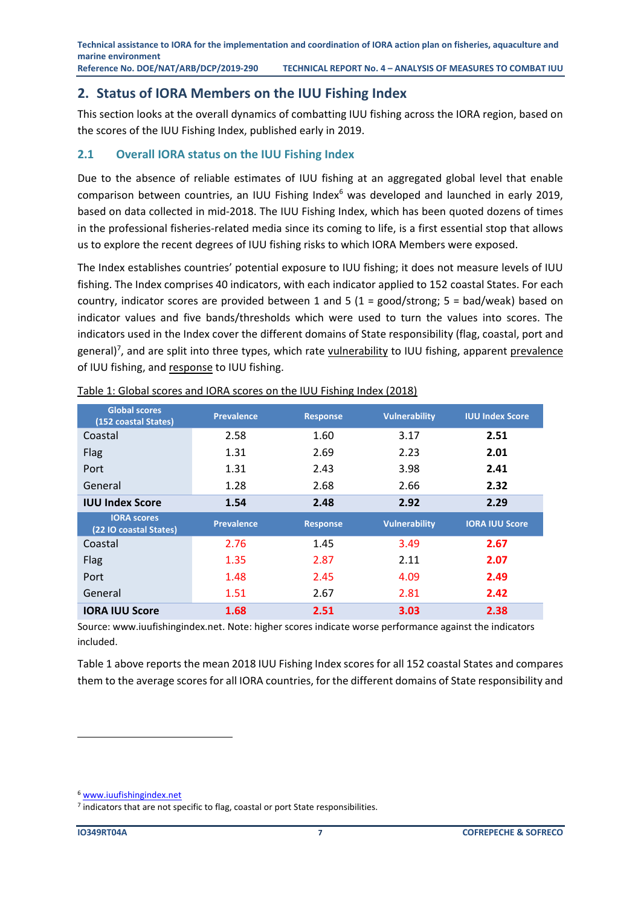**Technical assistance to IORA for the implementation and coordination of IORA action plan on fisheries, aquaculture and marine environment Reference No. DOE/NAT/ARB/DCP/2019-290 TECHNICAL REPORT No. 4 – ANALYSIS OF MEASURES TO COMBAT IUU**

#### <span id="page-8-0"></span>**2. Status of IORA Members on the IUU Fishing Index**

This section looks at the overall dynamics of combatting IUU fishing across the IORA region, based on the scores of the IUU Fishing Index, published early in 2019.

#### <span id="page-8-1"></span>**2.1 Overall IORA status on the IUU Fishing Index**

Due to the absence of reliable estimates of IUU fishing at an aggregated global level that enable comparison between countries, an IUU Fishing Index<sup>6</sup> was developed and launched in early 2019, based on data collected in mid-2018. The IUU Fishing Index, which has been quoted dozens of times in the professional fisheries-related media since its coming to life, is a first essential stop that allows us to explore the recent degrees of IUU fishing risks to which IORA Members were exposed.

The Index establishes countries' potential exposure to IUU fishing; it does not measure levels of IUU fishing. The Index comprises 40 indicators, with each indicator applied to 152 coastal States. For each country, indicator scores are provided between 1 and 5 (1 = good/strong;  $5 = bad/weak$ ) based on indicator values and five bands/thresholds which were used to turn the values into scores. The indicators used in the Index cover the different domains of State responsibility (flag, coastal, port and general)<sup>7</sup>, and are split into three types, which rate **vulnerability** to IUU fishing, apparent <u>prevalence</u> of IUU fishing, and response to IUU fishing.

| <b>Global scores</b><br>(152 coastal States) | <b>Prevalence</b> | <b>Response</b> | <b>Vulnerability</b> | <b>IUU Index Score</b> |
|----------------------------------------------|-------------------|-----------------|----------------------|------------------------|
| Coastal                                      | 2.58              | 1.60            | 3.17                 | 2.51                   |
| Flag                                         | 1.31              | 2.69            | 2.23                 | 2.01                   |
| Port                                         | 1.31              | 2.43            | 3.98                 | 2.41                   |
| General                                      | 1.28              | 2.68            | 2.66                 | 2.32                   |
| <b>IUU Index Score</b>                       | 1.54              | 2.48            | 2.92                 | 2.29                   |
|                                              |                   |                 |                      |                        |
| <b>IORA scores</b><br>(22 IO coastal States) | <b>Prevalence</b> | <b>Response</b> | <b>Vulnerability</b> | <b>IORA IUU Score</b>  |
| Coastal                                      | 2.76              | 1.45            | 3.49                 | 2.67                   |
| Flag                                         | 1.35              | 2.87            | 2.11                 | 2.07                   |
| Port                                         | 1.48              | 2.45            | 4.09                 | 2.49                   |
| General                                      | 1.51              | 2.67            | 2.81                 | 2.42                   |

<span id="page-8-2"></span>Table 1: Global scores and IORA scores on the IUU Fishing Index (2018)

Source[: www.iuufishingindex.net.](http://www.iuufishingindex.net/) Note: higher scores indicate worse performance against the indicators included.

Table 1 above reports the mean 2018 IUU Fishing Index scores for all 152 coastal States and compares them to the average scores for all IORA countries, for the different domains of State responsibility and

<sup>6</sup> [www.iuufishingindex.net](http://www.iuufishingindex.net/)

 $<sup>7</sup>$  indicators that are not specific to flag, coastal or port State responsibilities.</sup>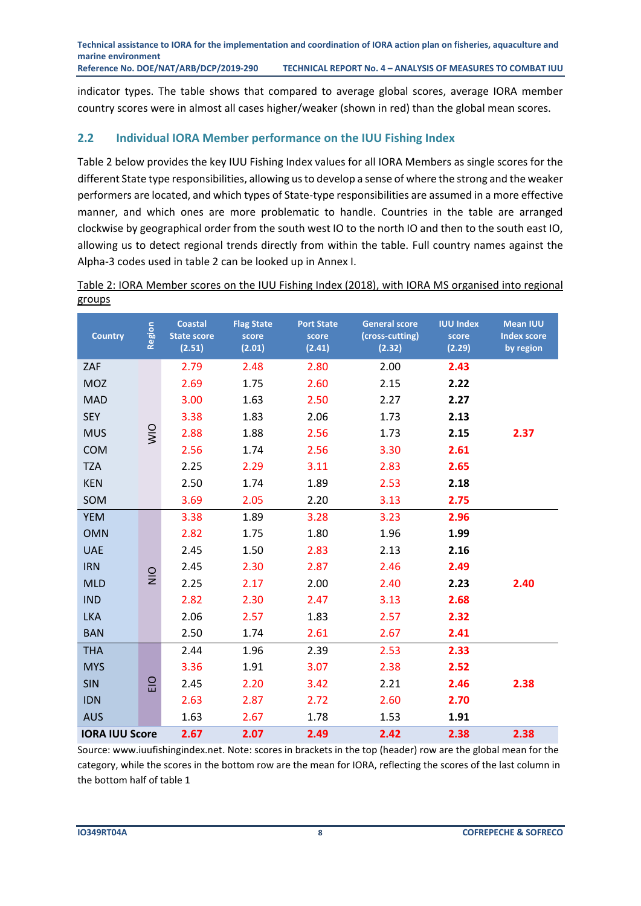indicator types. The table shows that compared to average global scores, average IORA member country scores were in almost all cases higher/weaker (shown in red) than the global mean scores.

#### <span id="page-9-0"></span>**2.2 Individual IORA Member performance on the IUU Fishing Index**

Table 2 below provides the key IUU Fishing Index values for all IORA Members as single scores for the different State type responsibilities, allowing us to develop a sense of where the strong and the weaker performers are located, and which types of State-type responsibilities are assumed in a more effective manner, and which ones are more problematic to handle. Countries in the table are arranged clockwise by geographical order from the south west IO to the north IO and then to the south east IO, allowing us to detect regional trends directly from within the table. Full country names against the Alpha-3 codes used in table 2 can be looked up in Annex I.

| <b>Country</b>        | Region      | <b>Coastal</b><br><b>State score</b><br>(2.51) | <b>Flag State</b><br>score<br>(2.01) | <b>Port State</b><br>score<br>(2.41) | <b>General score</b><br>(cross-cutting)<br>(2.32) | <b>IUU Index</b><br>score<br>(2.29) | <b>Mean IUU</b><br><b>Index score</b><br>by region |
|-----------------------|-------------|------------------------------------------------|--------------------------------------|--------------------------------------|---------------------------------------------------|-------------------------------------|----------------------------------------------------|
| ZAF                   |             | 2.79                                           | 2.48                                 | 2.80                                 | 2.00                                              | 2.43                                |                                                    |
| <b>MOZ</b>            |             | 2.69                                           | 1.75                                 | 2.60                                 | 2.15                                              | 2.22                                |                                                    |
| <b>MAD</b>            |             | 3.00                                           | 1.63                                 | 2.50                                 | 2.27                                              | 2.27                                |                                                    |
| <b>SEY</b>            |             | 3.38                                           | 1.83                                 | 2.06                                 | 1.73                                              | 2.13                                |                                                    |
| <b>MUS</b>            | $rac{1}{2}$ | 2.88                                           | 1.88                                 | 2.56                                 | 1.73                                              | 2.15                                | 2.37                                               |
| <b>COM</b>            |             | 2.56                                           | 1.74                                 | 2.56                                 | 3.30                                              | 2.61                                |                                                    |
| <b>TZA</b>            |             | 2.25                                           | 2.29                                 | 3.11                                 | 2.83                                              | 2.65                                |                                                    |
| <b>KEN</b>            |             | 2.50                                           | 1.74                                 | 1.89                                 | 2.53                                              | 2.18                                |                                                    |
| SOM                   |             | 3.69                                           | 2.05                                 | 2.20                                 | 3.13                                              | 2.75                                |                                                    |
| <b>YEM</b>            |             | 3.38                                           | 1.89                                 | 3.28                                 | 3.23                                              | 2.96                                |                                                    |
| <b>OMN</b>            |             | 2.82                                           | 1.75                                 | 1.80                                 | 1.96                                              | 1.99                                |                                                    |
| <b>UAE</b>            |             | 2.45                                           | 1.50                                 | 2.83                                 | 2.13                                              | 2.16                                |                                                    |
| <b>IRN</b>            |             | 2.45                                           | 2.30                                 | 2.87                                 | 2.46                                              | 2.49                                |                                                    |
| <b>MLD</b>            | $rac{O}{N}$ | 2.25                                           | 2.17                                 | 2.00                                 | 2.40                                              | 2.23                                | 2.40                                               |
| <b>IND</b>            |             | 2.82                                           | 2.30                                 | 2.47                                 | 3.13                                              | 2.68                                |                                                    |
| <b>LKA</b>            |             | 2.06                                           | 2.57                                 | 1.83                                 | 2.57                                              | 2.32                                |                                                    |
| <b>BAN</b>            |             | 2.50                                           | 1.74                                 | 2.61                                 | 2.67                                              | 2.41                                |                                                    |
| <b>THA</b>            |             | 2.44                                           | 1.96                                 | 2.39                                 | 2.53                                              | 2.33                                |                                                    |
| <b>MYS</b>            |             | 3.36                                           | 1.91                                 | 3.07                                 | 2.38                                              | 2.52                                |                                                    |
| <b>SIN</b>            | $rac{O}{E}$ | 2.45                                           | 2.20                                 | 3.42                                 | 2.21                                              | 2.46                                | 2.38                                               |
| <b>IDN</b>            |             | 2.63                                           | 2.87                                 | 2.72                                 | 2.60                                              | 2.70                                |                                                    |
| <b>AUS</b>            |             | 1.63                                           | 2.67                                 | 1.78                                 | 1.53                                              | 1.91                                |                                                    |
| <b>IORA IUU Score</b> |             | 2.67                                           | 2.07                                 | 2.49                                 | 2.42                                              | 2.38                                | 2.38                                               |

<span id="page-9-1"></span>Table 2: IORA Member scores on the IUU Fishing Index (2018), with IORA MS organised into regional groups

Source[: www.iuufishingindex.net.](http://www.iuufishingindex.net/) Note: scores in brackets in the top (header) row are the global mean for the category, while the scores in the bottom row are the mean for IORA, reflecting the scores of the last column in the bottom half of table 1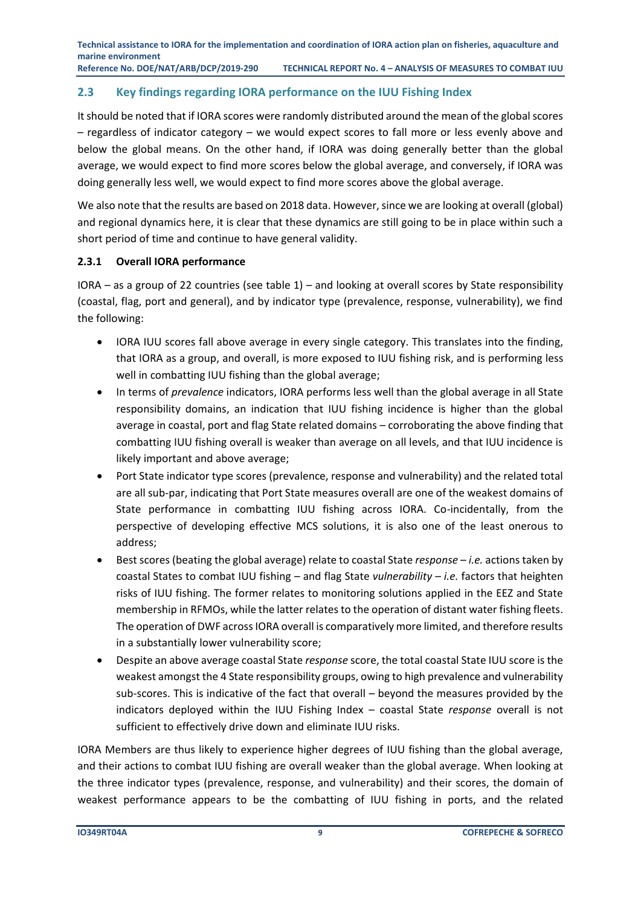**Technical assistance to IORA for the implementation and coordination of IORA action plan on fisheries, aquaculture and marine environment Reference No. DOE/NAT/ARB/DCP/2019-290 TECHNICAL REPORT No. 4 – ANALYSIS OF MEASURES TO COMBAT IUU**

#### <span id="page-10-0"></span>**2.3 Key findings regarding IORA performance on the IUU Fishing Index**

It should be noted that if IORA scores were randomly distributed around the mean of the global scores – regardless of indicator category – we would expect scores to fall more or less evenly above and below the global means. On the other hand, if IORA was doing generally better than the global average, we would expect to find more scores below the global average, and conversely, if IORA was doing generally less well, we would expect to find more scores above the global average.

We also note that the results are based on 2018 data. However, since we are looking at overall (global) and regional dynamics here, it is clear that these dynamics are still going to be in place within such a short period of time and continue to have general validity.

#### <span id="page-10-1"></span>**2.3.1 Overall IORA performance**

IORA – as a group of 22 countries (see table 1) – and looking at overall scores by State responsibility (coastal, flag, port and general), and by indicator type (prevalence, response, vulnerability), we find the following:

- IORA IUU scores fall above average in every single category. This translates into the finding, that IORA as a group, and overall, is more exposed to IUU fishing risk, and is performing less well in combatting IUU fishing than the global average;
- In terms of *prevalence* indicators, IORA performs less well than the global average in all State responsibility domains, an indication that IUU fishing incidence is higher than the global average in coastal, port and flag State related domains – corroborating the above finding that combatting IUU fishing overall is weaker than average on all levels, and that IUU incidence is likely important and above average;
- Port State indicator type scores (prevalence, response and vulnerability) and the related total are all sub-par, indicating that Port State measures overall are one of the weakest domains of State performance in combatting IUU fishing across IORA. Co-incidentally, from the perspective of developing effective MCS solutions, it is also one of the least onerous to address;
- Best scores (beating the global average) relate to coastal State *response i.e.* actions taken by coastal States to combat IUU fishing – and flag State *vulnerability* – *i.e.* factors that heighten risks of IUU fishing. The former relates to monitoring solutions applied in the EEZ and State membership in RFMOs, while the latter relates to the operation of distant water fishing fleets. The operation of DWF across IORA overall is comparatively more limited, and therefore results in a substantially lower vulnerability score;
- Despite an above average coastal State *response* score, the total coastal State IUU score is the weakest amongst the 4 State responsibility groups, owing to high prevalence and vulnerability sub-scores. This is indicative of the fact that overall – beyond the measures provided by the indicators deployed within the IUU Fishing Index – coastal State *response* overall is not sufficient to effectively drive down and eliminate IUU risks.

IORA Members are thus likely to experience higher degrees of IUU fishing than the global average, and their actions to combat IUU fishing are overall weaker than the global average. When looking at the three indicator types (prevalence, response, and vulnerability) and their scores, the domain of weakest performance appears to be the combatting of IUU fishing in ports, and the related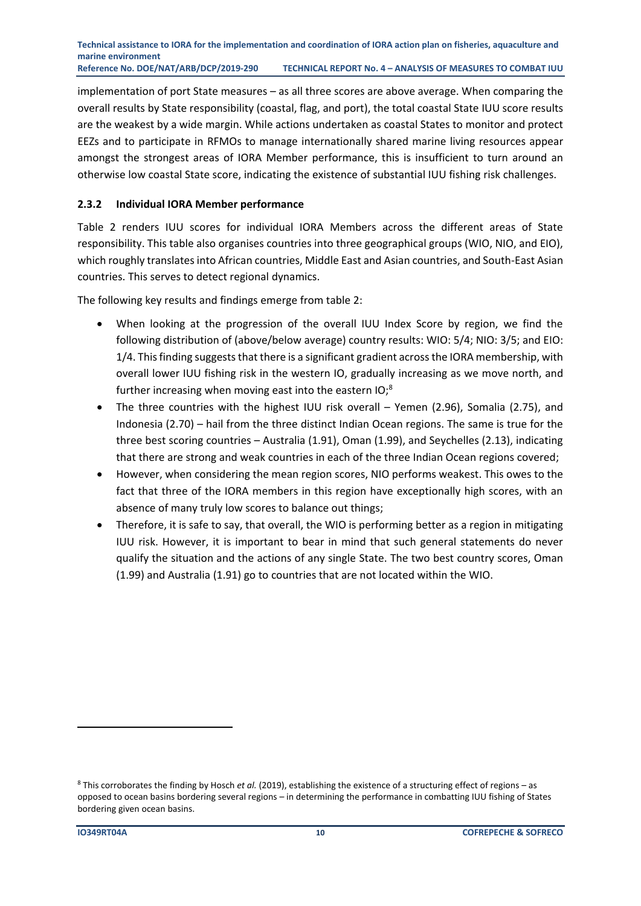implementation of port State measures – as all three scores are above average. When comparing the overall results by State responsibility (coastal, flag, and port), the total coastal State IUU score results are the weakest by a wide margin. While actions undertaken as coastal States to monitor and protect EEZs and to participate in RFMOs to manage internationally shared marine living resources appear amongst the strongest areas of IORA Member performance, this is insufficient to turn around an otherwise low coastal State score, indicating the existence of substantial IUU fishing risk challenges.

#### <span id="page-11-0"></span>**2.3.2 Individual IORA Member performance**

Table 2 renders IUU scores for individual IORA Members across the different areas of State responsibility. This table also organises countries into three geographical groups (WIO, NIO, and EIO), which roughly translates into African countries, Middle East and Asian countries, and South-East Asian countries. This serves to detect regional dynamics.

The following key results and findings emerge from table 2:

- When looking at the progression of the overall IUU Index Score by region, we find the following distribution of (above/below average) country results: WIO: 5/4; NIO: 3/5; and EIO: 1/4. This finding suggests that there is a significant gradient across the IORA membership, with overall lower IUU fishing risk in the western IO, gradually increasing as we move north, and further increasing when moving east into the eastern IO;<sup>8</sup>
- The three countries with the highest IUU risk overall Yemen (2.96), Somalia (2.75), and Indonesia (2.70) – hail from the three distinct Indian Ocean regions. The same is true for the three best scoring countries – Australia (1.91), Oman (1.99), and Seychelles (2.13), indicating that there are strong and weak countries in each of the three Indian Ocean regions covered;
- However, when considering the mean region scores, NIO performs weakest. This owes to the fact that three of the IORA members in this region have exceptionally high scores, with an absence of many truly low scores to balance out things;
- Therefore, it is safe to say, that overall, the WIO is performing better as a region in mitigating IUU risk. However, it is important to bear in mind that such general statements do never qualify the situation and the actions of any single State. The two best country scores, Oman (1.99) and Australia (1.91) go to countries that are not located within the WIO.

<sup>8</sup> This corroborates the finding by Hosch *et al.* (2019), establishing the existence of a structuring effect of regions – as opposed to ocean basins bordering several regions – in determining the performance in combatting IUU fishing of States bordering given ocean basins.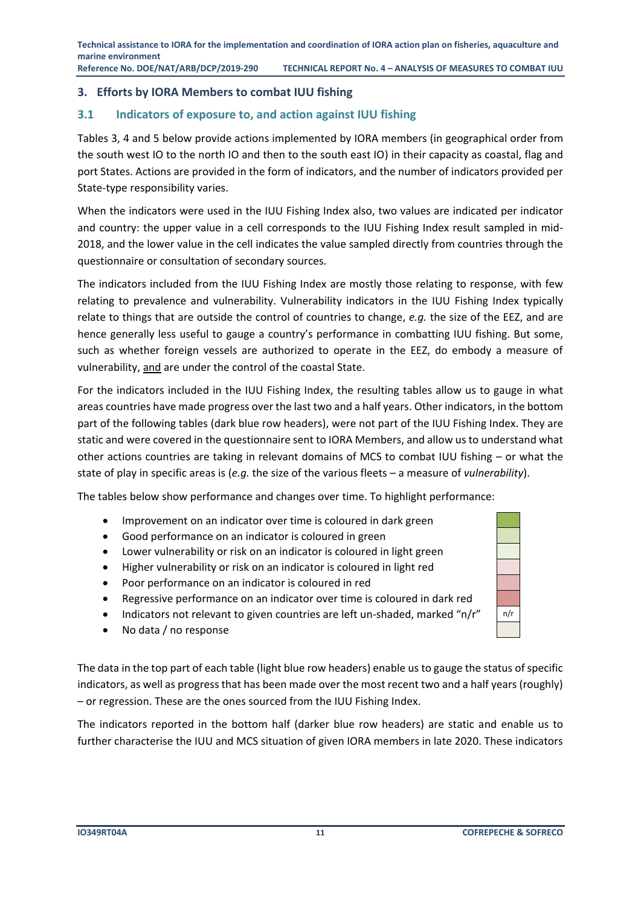#### <span id="page-12-0"></span>**3. Efforts by IORA Members to combat IUU fishing**

#### <span id="page-12-1"></span>**3.1 Indicators of exposure to, and action against IUU fishing**

Tables 3, 4 and 5 below provide actions implemented by IORA members (in geographical order from the south west IO to the north IO and then to the south east IO) in their capacity as coastal, flag and port States. Actions are provided in the form of indicators, and the number of indicators provided per State-type responsibility varies.

When the indicators were used in the IUU Fishing Index also, two values are indicated per indicator and country: the upper value in a cell corresponds to the IUU Fishing Index result sampled in mid-2018, and the lower value in the cell indicates the value sampled directly from countries through the questionnaire or consultation of secondary sources.

The indicators included from the IUU Fishing Index are mostly those relating to response, with few relating to prevalence and vulnerability. Vulnerability indicators in the IUU Fishing Index typically relate to things that are outside the control of countries to change, *e.g.* the size of the EEZ, and are hence generally less useful to gauge a country's performance in combatting IUU fishing. But some, such as whether foreign vessels are authorized to operate in the EEZ, do embody a measure of vulnerability, and are under the control of the coastal State.

For the indicators included in the IUU Fishing Index, the resulting tables allow us to gauge in what areas countries have made progress over the last two and a half years. Other indicators, in the bottom part of the following tables (dark blue row headers), were not part of the IUU Fishing Index. They are static and were covered in the questionnaire sent to IORA Members, and allow us to understand what other actions countries are taking in relevant domains of MCS to combat IUU fishing – or what the state of play in specific areas is (*e.g.* the size of the various fleets – a measure of *vulnerability*).

The tables below show performance and changes over time. To highlight performance:

- Improvement on an indicator over time is coloured in dark green
- Good performance on an indicator is coloured in green
- Lower vulnerability or risk on an indicator is coloured in light green
- Higher vulnerability or risk on an indicator is coloured in light red
- Poor performance on an indicator is coloured in red
- Regressive performance on an indicator over time is coloured in dark red
- Indicators not relevant to given countries are left un-shaded, marked "n/r"  $\mid$  n/r
- No data / no response

The data in the top part of each table (light blue row headers) enable us to gauge the status of specific indicators, as well as progress that has been made over the most recent two and a half years (roughly) – or regression. These are the ones sourced from the IUU Fishing Index.

The indicators reported in the bottom half (darker blue row headers) are static and enable us to further characterise the IUU and MCS situation of given IORA members in late 2020. These indicators

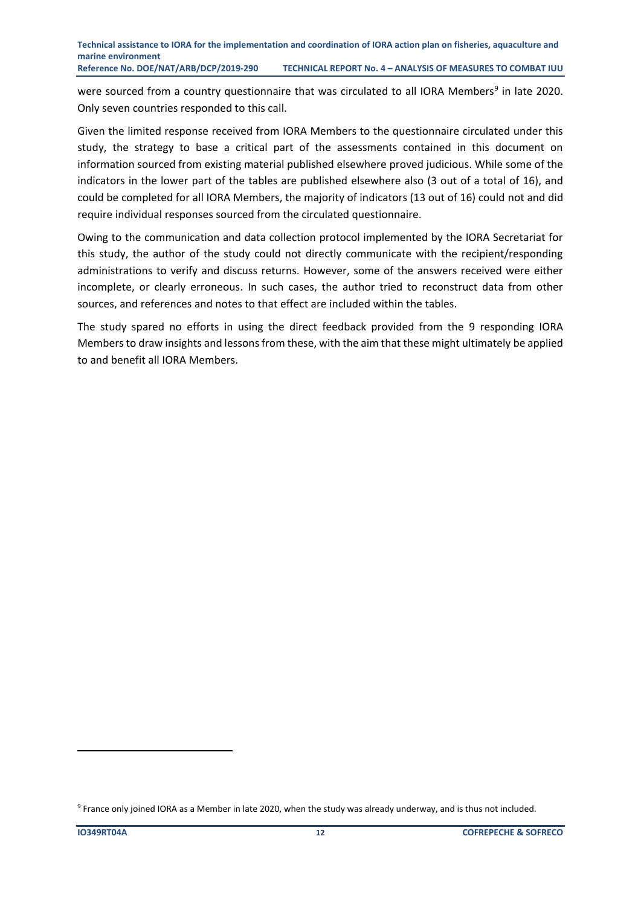were sourced from a country questionnaire that was circulated to all IORA Members<sup>9</sup> in late 2020. Only seven countries responded to this call.

Given the limited response received from IORA Members to the questionnaire circulated under this study, the strategy to base a critical part of the assessments contained in this document on information sourced from existing material published elsewhere proved judicious. While some of the indicators in the lower part of the tables are published elsewhere also (3 out of a total of 16), and could be completed for all IORA Members, the majority of indicators (13 out of 16) could not and did require individual responses sourced from the circulated questionnaire.

Owing to the communication and data collection protocol implemented by the IORA Secretariat for this study, the author of the study could not directly communicate with the recipient/responding administrations to verify and discuss returns. However, some of the answers received were either incomplete, or clearly erroneous. In such cases, the author tried to reconstruct data from other sources, and references and notes to that effect are included within the tables.

The study spared no efforts in using the direct feedback provided from the 9 responding IORA Members to draw insights and lessons from these, with the aim that these might ultimately be applied to and benefit all IORA Members.

<sup>9</sup> France only joined IORA as a Member in late 2020, when the study was already underway, and is thus not included.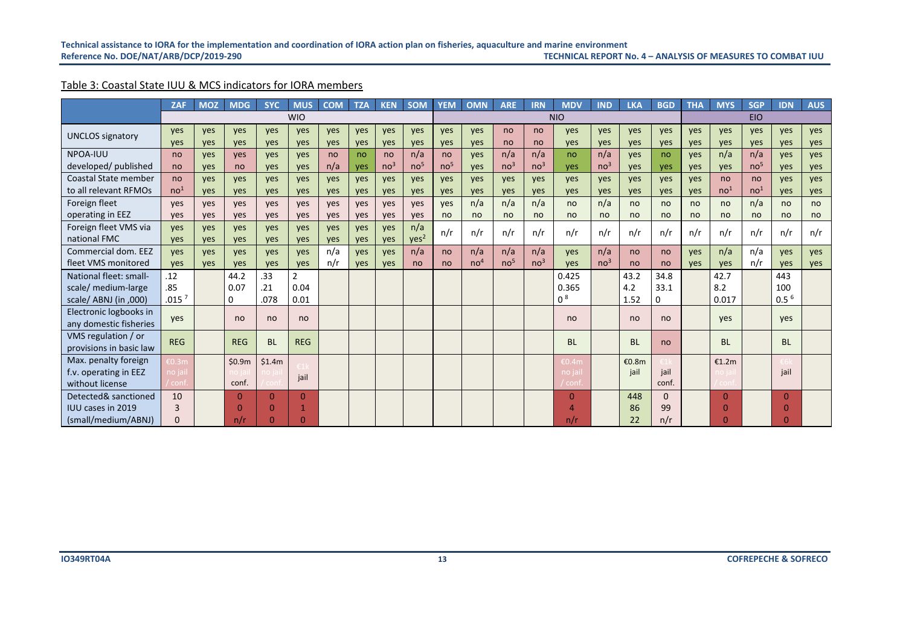#### Table 3: Coastal State IUU & MCS indicators for IORA members

<span id="page-14-0"></span>

|                             | <b>ZAF</b>        | <b>MOZ</b> | <b>MDG</b>   | <b>SYC</b> | <b>MUS</b>     | <b>COM</b> | <b>TZA</b> | <b>KEN</b>      | <b>SOM</b>       | <b>YEM</b>      | <b>OMN</b>      | <b>ARE</b>      | <b>IRN</b>      | <b>MDV</b>     | <b>IND</b>      | <b>LKA</b> | <b>BGD</b> | <b>THA</b> | <b>MYS</b>      | <b>SGP</b>      | <b>IDN</b>       | <b>AUS</b>    |
|-----------------------------|-------------------|------------|--------------|------------|----------------|------------|------------|-----------------|------------------|-----------------|-----------------|-----------------|-----------------|----------------|-----------------|------------|------------|------------|-----------------|-----------------|------------------|---------------|
|                             |                   |            |              |            | <b>WIO</b>     |            |            |                 |                  |                 |                 |                 |                 | <b>NIO</b>     |                 |            |            |            |                 | <b>EIO</b>      |                  |               |
| <b>UNCLOS</b> signatory     | ves               | <b>ves</b> | ves          | ves        | ves            | yes        | ves        | <b>ves</b>      | yes              | ves             | yes             | no              | no              | <b>ves</b>     | yes             | yes        | yes        | yes        | yes             | ves             | ves              | yes           |
|                             | ves               | yes        | yes          | yes        | yes            | yes        | yes        | yes             | yes              | yes             | yes             | no              | no              | yes            | yes             | yes        | yes        | yes        | yes             | yes             | yes              | yes           |
| NPOA-IUU                    | no                | <b>ves</b> | <b>ves</b>   | ves        | ves            | no         | no         | no              | n/a              | no              | yes             | n/a             | n/a             | no             | n/a             | ves        | no         | ves        | n/a             | n/a             | ves              | ves           |
| developed/published         | no                | yes        | no           | yes        | yes            | n/a        | yes        | no <sup>3</sup> | no <sup>5</sup>  | no <sup>5</sup> | yes             | no <sup>3</sup> | no <sup>3</sup> | ves            | no <sup>3</sup> | yes        | yes        | ves        | yes             | no <sup>5</sup> | ves              | yes           |
| <b>Coastal State member</b> | no                | <b>ves</b> | ves          | ves        | ves            | ves        | ves        | ves             | ves              | ves             | yes             | ves             | <b>ves</b>      | ves            | ves             | yes        | yes        | yes        | no              | no              | ves              | yes           |
| to all relevant RFMOs       | no <sup>1</sup>   | yes        | yes          | yes        | yes            | yes        | yes        | yes             | yes              | yes             | yes             | yes             | yes             | yes            | yes             | yes        | yes        | yes        | no <sup>1</sup> | no <sup>1</sup> | yes              | yes           |
| Foreign fleet               | ves               | <b>ves</b> | ves          | ves        | ves            | yes        | ves        | ves             | ves              | ves             | n/a             | n/a             | n/a             | no             | n/a             | no         | no         | no         | no              | n/a             | no               | no            |
| operating in EEZ            | ves               | ves        | ves          | ves        | yes            | ves        | ves        | ves             | ves              | no              | no              | no              | no              | no             | no              | no         | no         | no         | no              | no              | no               | <sub>no</sub> |
| Foreign fleet VMS via       | ves               | <b>ves</b> | ves          | ves        | ves            | yes        | ves        | <b>ves</b>      | n/a              | n/r             | n/r             | n/r             | n/r             | n/r            | n/r             | n/r        | n/r        | n/r        | n/r             | n/r             | n/r              | n/r           |
| national FMC                | ves               | yes        | yes          | yes        | yes            | yes        | ves        | yes             | yes <sup>2</sup> |                 |                 |                 |                 |                |                 |            |            |            |                 |                 |                  |               |
| Commercial dom. EEZ         | ves               | <b>ves</b> | ves          | ves        | ves            | n/a        | ves        | ves             | n/a              | no              | n/a             | n/a             | n/a             | <b>ves</b>     | n/a             | no         | no         | yes        | n/a             | n/a             | yes              | yes           |
| fleet VMS monitored         | ves               | <b>ves</b> | ves          | ves        | yes            | n/r        | ves        | ves             | no               | no              | no <sup>4</sup> | no <sup>5</sup> | no <sup>3</sup> | ves            | no <sup>3</sup> | no         | no         | ves        | ves             | n/r             | ves              | ves           |
| National fleet: small-      | .12               |            | 44.2         | .33        | $\overline{2}$ |            |            |                 |                  |                 |                 |                 |                 | 0.425          |                 | 43.2       | 34.8       |            | 42.7            |                 | 443              |               |
| scale/ medium-large         | .85               |            | 0.07         | .21        | 0.04           |            |            |                 |                  |                 |                 |                 |                 | 0.365          |                 | 4.2        | 33.1       |            | 8.2             |                 | 100              |               |
| scale/ ABNJ (in ,000)       | .015 <sup>7</sup> |            | 0            | .078       | 0.01           |            |            |                 |                  |                 |                 |                 |                 | 0 <sup>8</sup> |                 | 1.52       | 0          |            | 0.017           |                 | 0.5 <sup>6</sup> |               |
| Electronic logbooks in      |                   |            |              |            |                |            |            |                 |                  |                 |                 |                 |                 |                |                 |            |            |            |                 |                 |                  |               |
| any domestic fisheries      | yes               |            | no           | no         | no             |            |            |                 |                  |                 |                 |                 |                 | no             |                 | no         | no         |            | ves             |                 | yes              |               |
| VMS regulation / or         | <b>REG</b>        |            | <b>REG</b>   | <b>BL</b>  | <b>REG</b>     |            |            |                 |                  |                 |                 |                 |                 | <b>BL</b>      |                 | <b>BL</b>  | no         |            | <b>BL</b>       |                 | <b>BL</b>        |               |
| provisions in basic law     |                   |            |              |            |                |            |            |                 |                  |                 |                 |                 |                 |                |                 |            |            |            |                 |                 |                  |               |
| Max. penalty foreign        | <b>EO.3m</b>      |            | \$0.9m       | \$1.4m     |                |            |            |                 |                  |                 |                 |                 |                 | €0.4m          |                 | €0.8m      |            |            | €1.2m           |                 |                  |               |
| f.v. operating in EEZ       | no jai            |            |              |            | jail           |            |            |                 |                  |                 |                 |                 |                 | no jail        |                 | jail       | jail       |            |                 |                 | jail             |               |
| without license             | conf              |            | conf.        |            |                |            |            |                 |                  |                 |                 |                 |                 | ' conf.        |                 |            | conf.      |            |                 |                 |                  |               |
| Detected& sanctioned        | 10                |            | $\mathbf{0}$ | $\Omega$   | $\Omega$       |            |            |                 |                  |                 |                 |                 |                 | $\Omega$       |                 | 448        | $\Omega$   |            | $\Omega$        |                 | $\Omega$         |               |
| <b>IUU cases in 2019</b>    | 3                 |            | $\Omega$     | $\Omega$   |                |            |            |                 |                  |                 |                 |                 |                 | Δ              |                 | 86         | 99         |            | $\Omega$        |                 | O                |               |
| (small/medium/ABNJ)         | $\Omega$          |            | n/r          | $\Omega$   | በ              |            |            |                 |                  |                 |                 |                 |                 | n/r            |                 | 22         | n/r        |            |                 |                 |                  |               |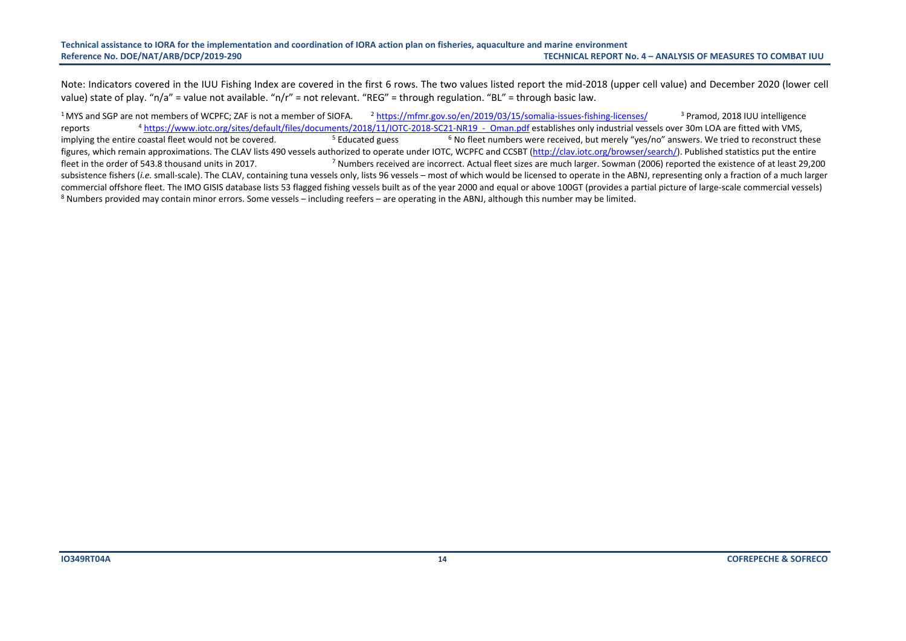#### **Technical assistance to IORA for the implementation and coordination of IORA action plan on fisheries, aquaculture and marine environment RECHNICAL REPORT No. 4 - ANALYSIS OF MEASURES TO COMBAT IUU**

Note: Indicators covered in the IUU Fishing Index are covered in the first 6 rows. The two values listed report the mid-2018 (upper cell value) and December 2020 (lower cell value) state of play. "n/a" = value not available. "n/r" = not relevant. "REG" = through regulation. "BL" = through basic law.

<sup>1</sup> MYS and SGP are not members of WCPFC; ZAF is not a member of SIOFA.  $^2$  <https://mfmr.gov.so/en/2019/03/15/somalia-issues-fishing-licenses/>  $^3$  Pramod, 2018 IUU intelligence reports <sup>4</sup>https://www.iotc.org/sites/default/files/documents/2018/11/IOTC-2018-SC21-NR19 - Oman.pdf establishes only industrial vessels over 30m LOA are fitted with VMS, implying the entire coastal fleet would not be covered.  $\frac{5}{2}$  Educated guess  $\frac{6}{2}$  No fleet numbers were received, but merely "yes/no" answers. We tried to reconstruct these figures, which remain approximations. The CLAV lists 490 vessels authorized to operate under IOTC, WCPFC and CCSBT [\(http://clav.iotc.org/browser/search/\)](http://clav.iotc.org/browser/search/). Published statistics put the entire fleet in the order of 543.8 thousand units in 2017. <sup>7</sup> Numbers received are incorrect. Actual fleet sizes are much larger. Sowman (2006) reported the existence of at least 29.200 subsistence fishers (*i.e.* small-scale). The CLAV, containing tuna vessels only, lists 96 vessels – most of which would be licensed to operate in the ABNJ, representing only a fraction of a much larger commercial offshore fleet. The IMO GISIS database lists 53 flagged fishing vessels built as of the year 2000 and equal or above 100GT (provides a partial picture of large-scale commercial vessels) <sup>8</sup> Numbers provided may contain minor errors. Some vessels – including reefers – are operating in the ABNJ, although this number may be limited.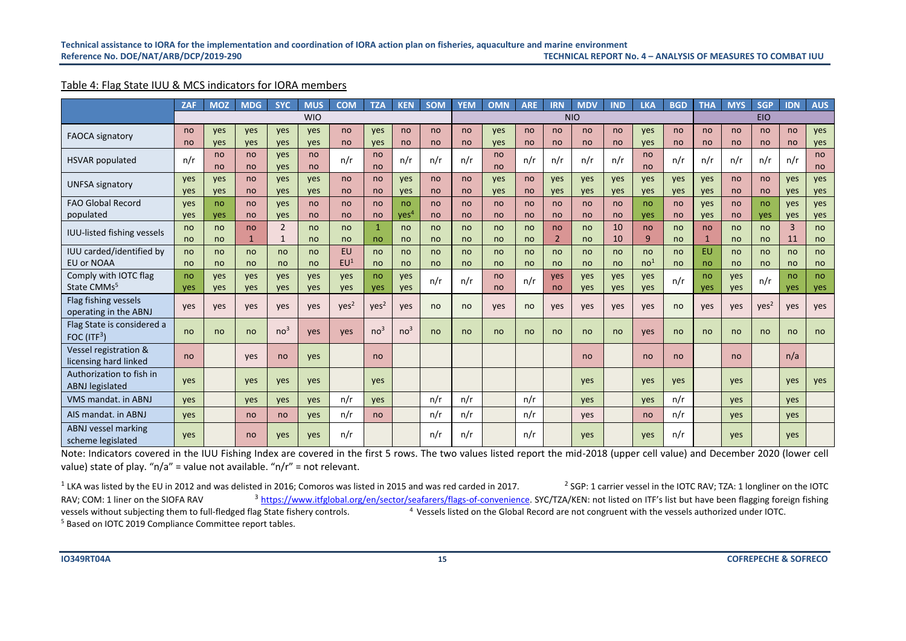#### Table 4: Flag State IUU & MCS indicators for IORA members

|                                                    | <b>ZAF</b> | <b>MOZ</b>        | <b>MDG</b> | <b>SYC</b>                     | <b>MUS</b> | <b>COM</b>                   | <b>TZA</b>         | <b>KEN</b>             | SOM                 | <b>YEM</b> | <b>OMN</b>          | <b>ARE</b> | <b>IRN</b>           | <b>MDV</b>        | <b>IND</b> | <b>LKA</b>            | <b>BGD</b> | <b>THA</b>         | <b>MYS</b>        | <b>SGP</b>       | <b>IDN</b>           | <b>AUS</b> |
|----------------------------------------------------|------------|-------------------|------------|--------------------------------|------------|------------------------------|--------------------|------------------------|---------------------|------------|---------------------|------------|----------------------|-------------------|------------|-----------------------|------------|--------------------|-------------------|------------------|----------------------|------------|
|                                                    |            |                   |            |                                | <b>WIO</b> |                              |                    |                        |                     |            |                     |            |                      | <b>NIO</b>        |            |                       |            |                    |                   | <b>EIO</b>       |                      |            |
| <b>FAOCA signatory</b>                             | no<br>no   | <b>ves</b><br>yes | ves<br>yes | ves<br>yes                     | yes<br>yes | no<br>no                     | yes<br>yes         | no<br>no               | <sub>no</sub><br>no | no<br>no   | ves<br>yes          | no<br>no   | no<br>no             | no<br>no          | no<br>no   | yes<br>yes            | no<br>no   | no<br>no           | no<br>no          | no<br>no         | no<br>no             | yes<br>yes |
| <b>HSVAR</b> populated                             | n/r        | no<br>no          | no<br>no   | ves<br>ves                     | no<br>no   | n/r                          | no<br>no           | n/r                    | n/r                 | n/r        | no<br>no            | n/r        | n/r                  | n/r               | n/r        | no<br>no              | n/r        | n/r                | n/r               | n/r              | n/r                  | no<br>no   |
| <b>UNFSA signatory</b>                             | yes<br>yes | <b>ves</b><br>yes | no<br>no   | ves<br>ves                     | ves<br>ves | no<br>no                     | no<br>no           | <b>ves</b><br>ves      | no<br>no            | no<br>no   | ves<br>ves          | no<br>no   | yes<br>ves           | ves<br>ves        | ves<br>yes | yes<br>yes            | ves<br>yes | yes<br>yes         | no<br>no          | no<br>no         | ves<br>yes           | yes<br>yes |
| <b>FAO Global Record</b><br>populated              | ves<br>yes | no<br>yes         | no<br>no   | ves<br>yes                     | no<br>no   | no<br>no                     | no<br>no           | no<br>ves <sup>4</sup> | no<br><sub>no</sub> | no<br>no   | no<br>no            | no<br>no   | no<br>no             | no<br>no          | no<br>no   | no<br>yes             | no<br>no   | yes<br>yes         | no<br>no          | no<br>yes        | yes<br>yes           | yes<br>yes |
| <b>IUU-listed fishing vessels</b>                  | no<br>no   | no<br>no          | no<br>1    | $\overline{2}$<br>$\mathbf{1}$ | no<br>no   | no<br>no                     | $\mathbf{1}$<br>no | no<br>no               | <sub>no</sub><br>no | no<br>no   | no<br><sub>no</sub> | no<br>no   | no<br>$\overline{2}$ | no<br>no          | 10<br>10   | no<br>9               | no<br>no   | no<br>$\mathbf{1}$ | no<br>no          | no<br>no         | $\overline{3}$<br>11 | no<br>no   |
| IUU carded/identified by<br><b>EU or NOAA</b>      | no<br>no   | no<br>no          | no<br>no   | no<br>no                       | no<br>no   | <b>EU</b><br>EU <sup>1</sup> | no<br>no           | no<br>no               | no<br>no            | no<br>no   | no<br>no            | no<br>no   | no<br>no             | no<br>no          | no<br>no   | no<br>no <sup>1</sup> | no<br>no   | <b>EU</b><br>no    | no<br>no          | no<br>no         | no<br>no             | no<br>no   |
| Comply with IOTC flag<br>State CMMs <sup>5</sup>   | no<br>yes  | yes<br>yes        | yes<br>yes | yes<br>yes                     | yes<br>yes | yes<br>yes                   | no<br>yes          | ves<br><b>ves</b>      | n/r                 | n/r        | no<br>no            | n/r        | yes<br>no            | <b>ves</b><br>ves | yes<br>yes | yes<br>yes            | n/r        | no<br>yes          | <b>ves</b><br>ves | n/r              | no<br>ves            | no<br>yes  |
| Flag fishing vessels<br>operating in the ABNJ      | yes        | yes               | yes        | yes                            | yes        | yes <sup>2</sup>             | Yes <sup>2</sup>   | yes                    | no                  | no         | yes                 | no         | yes                  | ves               | yes        | yes                   | no         | yes                | ves               | Yes <sup>2</sup> | yes                  | yes        |
| Flag State is considered a<br>FOC $(ITF3)$         | no         | no                | no         | no <sup>3</sup>                | yes        | yes                          | no <sup>3</sup>    | no <sup>3</sup>        | no                  | no         | no                  | no         | no                   | no                | no         | yes                   | no         | no                 | no                | no               | no                   | no         |
| Vessel registration &<br>licensing hard linked     | no         |                   | yes        | no                             | yes        |                              | no                 |                        |                     |            |                     |            |                      | no                |            | no                    | no         |                    | no                |                  | n/a                  |            |
| Authorization to fish in<br><b>ABNJ</b> legislated | yes        |                   | yes        | yes                            | yes        |                              | yes                |                        |                     |            |                     |            |                      | ves               |            | yes                   | yes        |                    | <b>ves</b>        |                  | ves                  | yes        |
| <b>VMS mandat, in ABNJ</b>                         | yes        |                   | yes        | yes                            | yes        | n/r                          | yes                |                        | n/r                 | n/r        |                     | n/r        |                      | ves               |            | yes                   | n/r        |                    | ves               |                  | yes                  |            |
| AIS mandat. in ABNJ                                | ves        |                   | no         | no                             | yes        | n/r                          | no                 |                        | n/r                 | n/r        |                     | n/r        |                      | <b>ves</b>        |            | <sub>no</sub>         | n/r        |                    | <b>ves</b>        |                  | ves                  |            |
| ABNJ vessel marking<br>scheme legislated           | yes        |                   | no         | yes                            | yes        | n/r                          |                    |                        | n/r                 | n/r        |                     | n/r        |                      | ves               |            | yes                   | n/r        |                    | ves               |                  | yes                  |            |

<span id="page-16-0"></span>Note: Indicators covered in the IUU Fishing Index are covered in the first 5 rows. The two values listed report the mid-2018 (upper cell value) and December 2020 (lower cell value) state of play. " $n/a$ " = value not available. " $n/r$ " = not relevant.

 $^1$  LKA was listed by the EU in 2012 and was delisted in 2016; Comoros was listed in 2015 and was red carded in 2017. <sup>2</sup> SGP: 1 carrier vessel in the IOTC RAV; TZA: 1 longliner on the IOTC RAV; COM: 1 liner on the SIOFA RAV <sup>3</sup> [https://www.itfglobal.org/en/sector/seafarers/flags-of-convenience.](https://www.itfglobal.org/en/sector/seafarers/flags-of-convenience) SYC/TZA/KEN: not listed on ITF's list but have been flagging foreign fishing vessels without subiecting them to fu  $4$  Vessels listed on the Global Record are not congruent with the vessels authorized under IOTC. <sup>5</sup> Based on IOTC 2019 Compliance Committee report tables.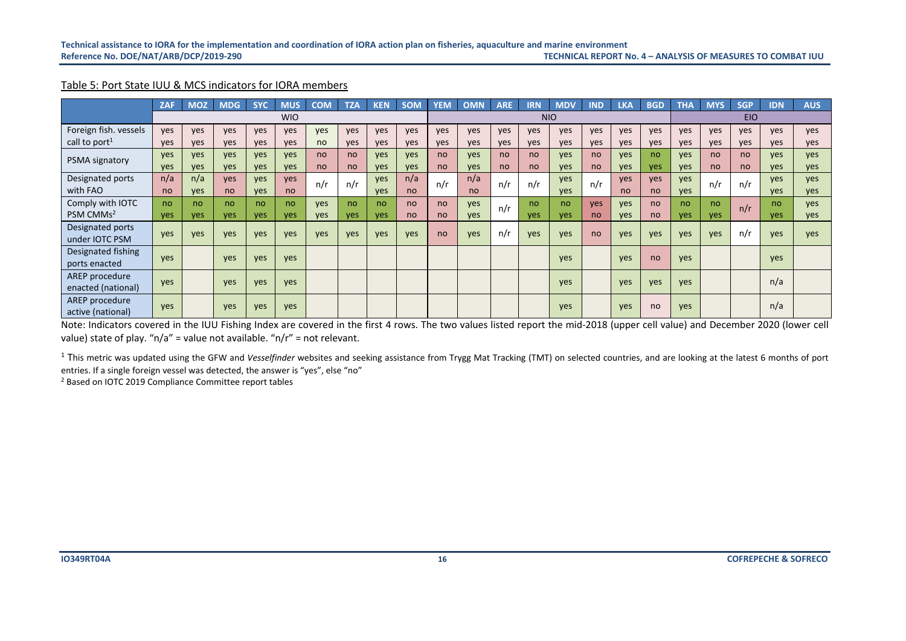#### Table 5: Port State IUU & MCS indicators for IORA members

|                                      | <b>ZAF</b> | <b>MOZ</b> | <b>MDG</b> | <b>SYC</b> | <b>MUS</b> | <b>COM</b> | <b>TZA</b> | <b>KEN</b> | <b>SOM</b> | <b>YEM</b>    | <b>OMN</b>    | <b>ARE</b> | <b>IRN</b> | <b>MDV</b> | <b>IND</b> | <b>LKA</b> | <b>BGD</b>    | <b>THA</b> | <b>MYS</b> | <b>SGP</b> | <b>IDN</b> | <b>AUS</b> |
|--------------------------------------|------------|------------|------------|------------|------------|------------|------------|------------|------------|---------------|---------------|------------|------------|------------|------------|------------|---------------|------------|------------|------------|------------|------------|
|                                      |            |            |            |            | <b>WIO</b> |            |            |            |            |               |               |            |            | <b>NIO</b> |            |            |               |            |            | <b>EIO</b> |            |            |
| Foreign fish. vessels                | yes        | ves        | yes        | yes        | yes        | ves        | yes        | ves        | yes        | <b>ves</b>    | yes           | <b>ves</b> | yes        | ves        | ves        | ves        | yes           | yes        | ves        | yes        | yes        | yes        |
| call to port <sup>1</sup>            | ves        | <b>ves</b> | yes        | yes        | <b>ves</b> | no         | <b>ves</b> | <b>ves</b> | <b>ves</b> | <b>ves</b>    | <b>ves</b>    | <b>ves</b> | yes        | yes        | <b>ves</b> | yes        | ves           | <b>ves</b> | yes        | yes        | yes        | yes        |
| <b>PSMA signatory</b>                | ves        | ves        | yes        | ves        | ves        | no         | no         | <b>ves</b> | <b>ves</b> | no            | <b>ves</b>    | no         | no         | ves        | no         | ves        | no.           | ves        | no         | no         | ves        | <b>ves</b> |
|                                      | yes        | <b>ves</b> | <b>ves</b> | <b>ves</b> | <b>ves</b> | no         | no         | ves        | <b>ves</b> | <sub>no</sub> | <b>ves</b>    | no         | no         | ves        | no         | <b>ves</b> | <b>ves</b>    | <b>ves</b> | no         | no         | yes        | yes        |
| Designated ports                     | n/a        | n/a        | yes        | ves        | yes        | n/r        | n/r        | <b>ves</b> | n/a        | n/r           | n/a           | n/r        | n/r        | ves        | n/r        | <b>ves</b> | yes           | <b>ves</b> | n/r        | n/r        | ves        | <b>ves</b> |
| with FAO                             | no         | <b>ves</b> | no         | yes        | no         |            |            | <b>ves</b> | no         |               | <sub>no</sub> |            |            | <b>ves</b> |            | no         | <sub>no</sub> | ves        |            |            | yes        | yes        |
| Comply with IOTC                     | no         | no         | no         | no         | no         | ves        | no         | no         | no         | no            | yes           | n/r        | no         | no         | <b>ves</b> | ves        | no            | no         | no         | n/r        | no         | <b>ves</b> |
| PSM CMMs <sup>2</sup>                | ves        | ves        | ves        | ves        | <b>ves</b> | <b>ves</b> | yes        | <b>ves</b> | no         | <sub>no</sub> | <b>ves</b>    |            | ves        | ves        | no         | <b>ves</b> | <sub>no</sub> | <b>ves</b> | <b>ves</b> |            | ves        | <b>ves</b> |
| Designated ports<br>under IOTC PSM   | yes        | ves        | yes        | ves        | ves        | ves        | ves        | ves        | ves        | no            | <b>ves</b>    | n/r        | ves        | ves        | no         | ves        | ves           | ves        | <b>ves</b> | n/r        | yes        | <b>ves</b> |
| Designated fishing<br>ports enacted  | yes        |            | yes        | yes        | ves        |            |            |            |            |               |               |            |            | <b>ves</b> |            | ves        | no            | yes        |            |            | yes        |            |
| AREP procedure<br>enacted (national) | yes        |            | yes        | ves        | yes        |            |            |            |            |               |               |            |            | ves        |            | ves        | ves           | ves        |            |            | n/a        |            |
| AREP procedure<br>active (national)  | yes        |            | yes        | yes        | yes        |            |            |            |            |               |               |            |            | ves        |            | yes        | no            | yes        |            |            | n/a        |            |

Note: Indicators covered in the IUU Fishing Index are covered in the first 4 rows. The two values listed report the mid-2018 (upper cell value) and December 2020 (lower cell value) state of play. "n/a" = value not available. "n/r" = not relevant.

<span id="page-17-0"></span><sup>1</sup> This metric was updated using the GFW and *Vesselfinder* websites and seeking assistance from Trygg Mat Tracking (TMT) on selected countries, and are looking at the latest 6 months of port entries. If a single foreign vessel was detected, the answer is "yes", else "no"

<sup>2</sup> Based on IOTC 2019 Compliance Committee report tables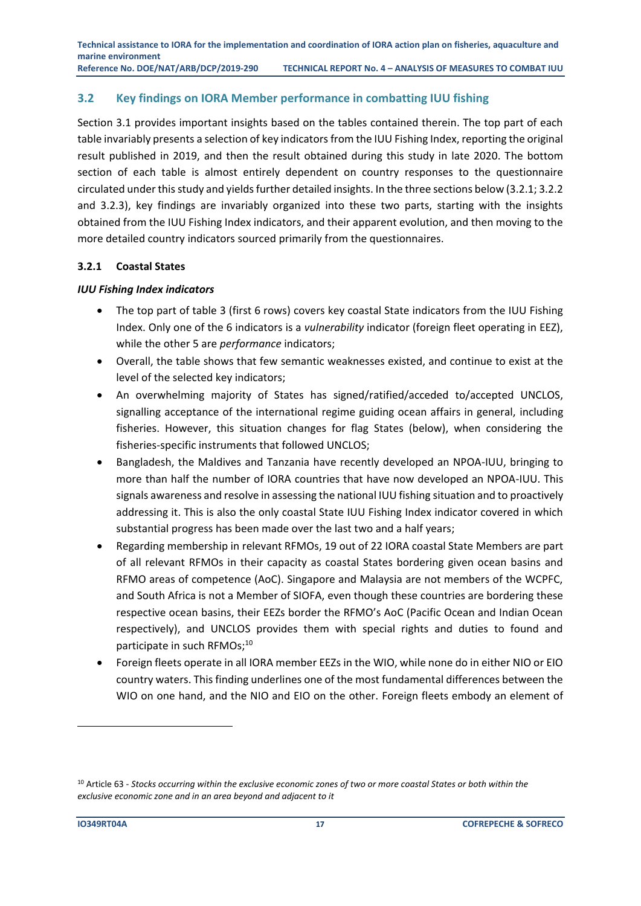**Technical assistance to IORA for the implementation and coordination of IORA action plan on fisheries, aquaculture and marine environment Reference No. DOE/NAT/ARB/DCP/2019-290 TECHNICAL REPORT No. 4 – ANALYSIS OF MEASURES TO COMBAT IUU**

#### <span id="page-18-0"></span>**3.2 Key findings on IORA Member performance in combatting IUU fishing**

Section 3.1 provides important insights based on the tables contained therein. The top part of each table invariably presents a selection of key indicators from the IUU Fishing Index, reporting the original result published in 2019, and then the result obtained during this study in late 2020. The bottom section of each table is almost entirely dependent on country responses to the questionnaire circulated under this study and yields further detailed insights. In the three sections below (3.2.1; 3.2.2 and 3.2.3), key findings are invariably organized into these two parts, starting with the insights obtained from the IUU Fishing Index indicators, and their apparent evolution, and then moving to the more detailed country indicators sourced primarily from the questionnaires.

#### <span id="page-18-1"></span>**3.2.1 Coastal States**

#### *IUU Fishing Index indicators*

- The top part of table 3 (first 6 rows) covers key coastal State indicators from the IUU Fishing Index. Only one of the 6 indicators is a *vulnerability* indicator (foreign fleet operating in EEZ), while the other 5 are *performance* indicators;
- Overall, the table shows that few semantic weaknesses existed, and continue to exist at the level of the selected key indicators;
- An overwhelming majority of States has signed/ratified/acceded to/accepted UNCLOS, signalling acceptance of the international regime guiding ocean affairs in general, including fisheries. However, this situation changes for flag States (below), when considering the fisheries-specific instruments that followed UNCLOS;
- Bangladesh, the Maldives and Tanzania have recently developed an NPOA-IUU, bringing to more than half the number of IORA countries that have now developed an NPOA-IUU. This signals awareness and resolve in assessing the national IUU fishing situation and to proactively addressing it. This is also the only coastal State IUU Fishing Index indicator covered in which substantial progress has been made over the last two and a half years;
- Regarding membership in relevant RFMOs, 19 out of 22 IORA coastal State Members are part of all relevant RFMOs in their capacity as coastal States bordering given ocean basins and RFMO areas of competence (AoC). Singapore and Malaysia are not members of the WCPFC, and South Africa is not a Member of SIOFA, even though these countries are bordering these respective ocean basins, their EEZs border the RFMO's AoC (Pacific Ocean and Indian Ocean respectively), and UNCLOS provides them with special rights and duties to found and participate in such RFMOs;<sup>10</sup>
- Foreign fleets operate in all IORA member EEZs in the WIO, while none do in either NIO or EIO country waters. This finding underlines one of the most fundamental differences between the WIO on one hand, and the NIO and EIO on the other. Foreign fleets embody an element of

<sup>10</sup> Article 63 - *Stocks occurring within the exclusive economic zones of two or more coastal States or both within the exclusive economic zone and in an area beyond and adjacent to it*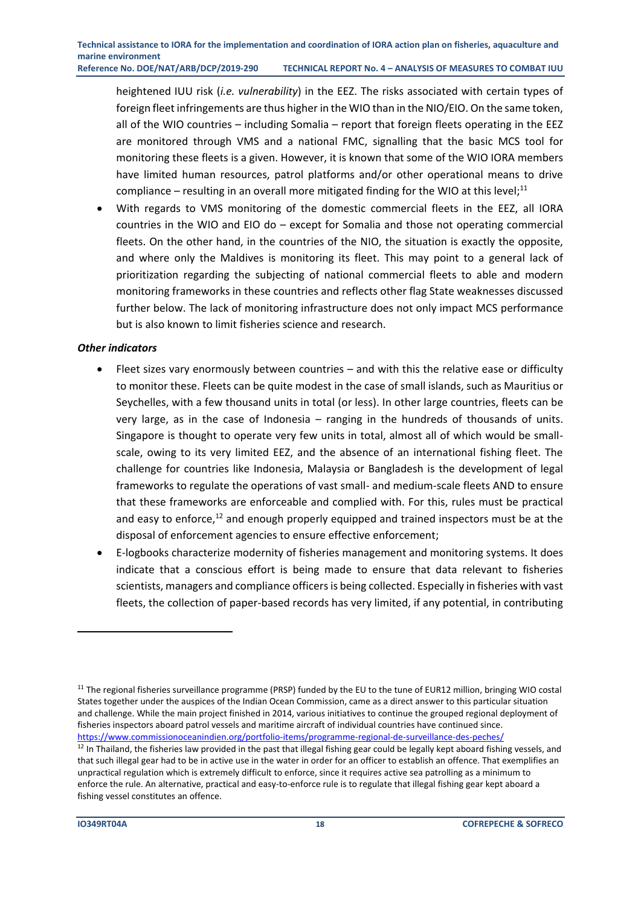heightened IUU risk (*i.e. vulnerability*) in the EEZ. The risks associated with certain types of foreign fleet infringements are thus higher in the WIO than in the NIO/EIO. On the same token, all of the WIO countries – including Somalia – report that foreign fleets operating in the EEZ are monitored through VMS and a national FMC, signalling that the basic MCS tool for monitoring these fleets is a given. However, it is known that some of the WIO IORA members have limited human resources, patrol platforms and/or other operational means to drive compliance  $-$  resulting in an overall more mitigated finding for the WIO at this level;<sup>11</sup>

With regards to VMS monitoring of the domestic commercial fleets in the EEZ, all IORA countries in the WIO and EIO do – except for Somalia and those not operating commercial fleets. On the other hand, in the countries of the NIO, the situation is exactly the opposite, and where only the Maldives is monitoring its fleet. This may point to a general lack of prioritization regarding the subjecting of national commercial fleets to able and modern monitoring frameworks in these countries and reflects other flag State weaknesses discussed further below. The lack of monitoring infrastructure does not only impact MCS performance but is also known to limit fisheries science and research.

#### *Other indicators*

- Fleet sizes vary enormously between countries and with this the relative ease or difficulty to monitor these. Fleets can be quite modest in the case of small islands, such as Mauritius or Seychelles, with a few thousand units in total (or less). In other large countries, fleets can be very large, as in the case of Indonesia – ranging in the hundreds of thousands of units. Singapore is thought to operate very few units in total, almost all of which would be smallscale, owing to its very limited EEZ, and the absence of an international fishing fleet. The challenge for countries like Indonesia, Malaysia or Bangladesh is the development of legal frameworks to regulate the operations of vast small- and medium-scale fleets AND to ensure that these frameworks are enforceable and complied with. For this, rules must be practical and easy to enforce, $12$  and enough properly equipped and trained inspectors must be at the disposal of enforcement agencies to ensure effective enforcement;
- E-logbooks characterize modernity of fisheries management and monitoring systems. It does indicate that a conscious effort is being made to ensure that data relevant to fisheries scientists, managers and compliance officers is being collected. Especially in fisheries with vast fleets, the collection of paper-based records has very limited, if any potential, in contributing

<sup>&</sup>lt;sup>11</sup> The regional fisheries surveillance programme (PRSP) funded by the EU to the tune of EUR12 million, bringing WIO costal States together under the auspices of the Indian Ocean Commission, came as a direct answer to this particular situation and challenge. While the main project finished in 2014, various initiatives to continue the grouped regional deployment of fisheries inspectors aboard patrol vessels and maritime aircraft of individual countries have continued since. <https://www.commissionoceanindien.org/portfolio-items/programme-regional-de-surveillance-des-peches/>

 $12$  In Thailand, the fisheries law provided in the past that illegal fishing gear could be legally kept aboard fishing vessels, and that such illegal gear had to be in active use in the water in order for an officer to establish an offence. That exemplifies an unpractical regulation which is extremely difficult to enforce, since it requires active sea patrolling as a minimum to enforce the rule. An alternative, practical and easy-to-enforce rule is to regulate that illegal fishing gear kept aboard a fishing vessel constitutes an offence.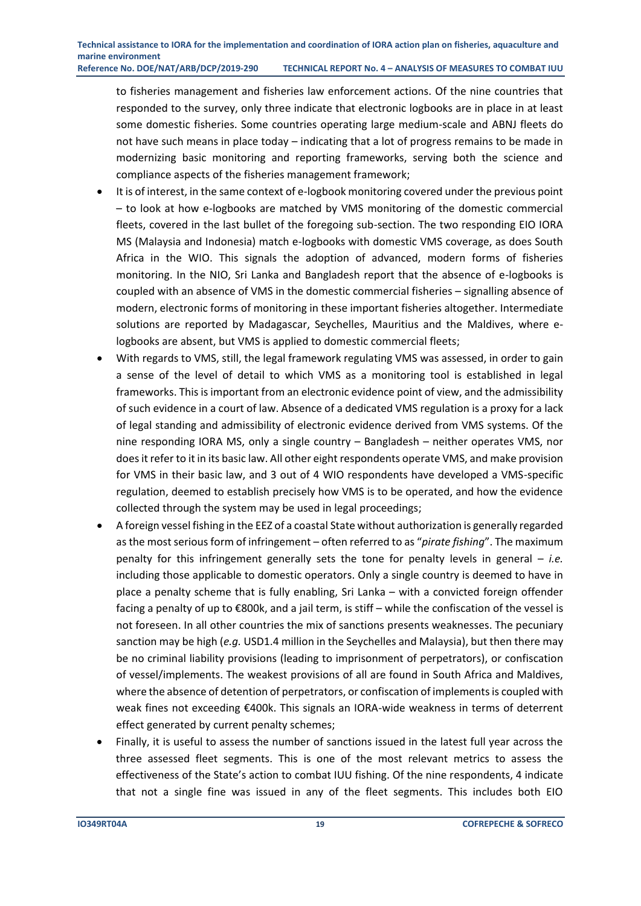to fisheries management and fisheries law enforcement actions. Of the nine countries that responded to the survey, only three indicate that electronic logbooks are in place in at least some domestic fisheries. Some countries operating large medium-scale and ABNJ fleets do not have such means in place today – indicating that a lot of progress remains to be made in modernizing basic monitoring and reporting frameworks, serving both the science and compliance aspects of the fisheries management framework;

- It is of interest, in the same context of e-logbook monitoring covered under the previous point – to look at how e-logbooks are matched by VMS monitoring of the domestic commercial fleets, covered in the last bullet of the foregoing sub-section. The two responding EIO IORA MS (Malaysia and Indonesia) match e-logbooks with domestic VMS coverage, as does South Africa in the WIO. This signals the adoption of advanced, modern forms of fisheries monitoring. In the NIO, Sri Lanka and Bangladesh report that the absence of e-logbooks is coupled with an absence of VMS in the domestic commercial fisheries – signalling absence of modern, electronic forms of monitoring in these important fisheries altogether. Intermediate solutions are reported by Madagascar, Seychelles, Mauritius and the Maldives, where elogbooks are absent, but VMS is applied to domestic commercial fleets;
- With regards to VMS, still, the legal framework regulating VMS was assessed, in order to gain a sense of the level of detail to which VMS as a monitoring tool is established in legal frameworks. This is important from an electronic evidence point of view, and the admissibility of such evidence in a court of law. Absence of a dedicated VMS regulation is a proxy for a lack of legal standing and admissibility of electronic evidence derived from VMS systems. Of the nine responding IORA MS, only a single country – Bangladesh – neither operates VMS, nor does it refer to it in its basic law. All other eight respondents operate VMS, and make provision for VMS in their basic law, and 3 out of 4 WIO respondents have developed a VMS-specific regulation, deemed to establish precisely how VMS is to be operated, and how the evidence collected through the system may be used in legal proceedings;
- A foreign vessel fishing in the EEZ of a coastal State without authorization is generally regarded as the most serious form of infringement – often referred to as "*pirate fishing*". The maximum penalty for this infringement generally sets the tone for penalty levels in general – *i.e.* including those applicable to domestic operators. Only a single country is deemed to have in place a penalty scheme that is fully enabling, Sri Lanka – with a convicted foreign offender facing a penalty of up to €800k, and a jail term, is stiff – while the confiscation of the vessel is not foreseen. In all other countries the mix of sanctions presents weaknesses. The pecuniary sanction may be high (*e.g.* USD1.4 million in the Seychelles and Malaysia), but then there may be no criminal liability provisions (leading to imprisonment of perpetrators), or confiscation of vessel/implements. The weakest provisions of all are found in South Africa and Maldives, where the absence of detention of perpetrators, or confiscation of implements is coupled with weak fines not exceeding €400k. This signals an IORA-wide weakness in terms of deterrent effect generated by current penalty schemes;
- Finally, it is useful to assess the number of sanctions issued in the latest full year across the three assessed fleet segments. This is one of the most relevant metrics to assess the effectiveness of the State's action to combat IUU fishing. Of the nine respondents, 4 indicate that not a single fine was issued in any of the fleet segments. This includes both EIO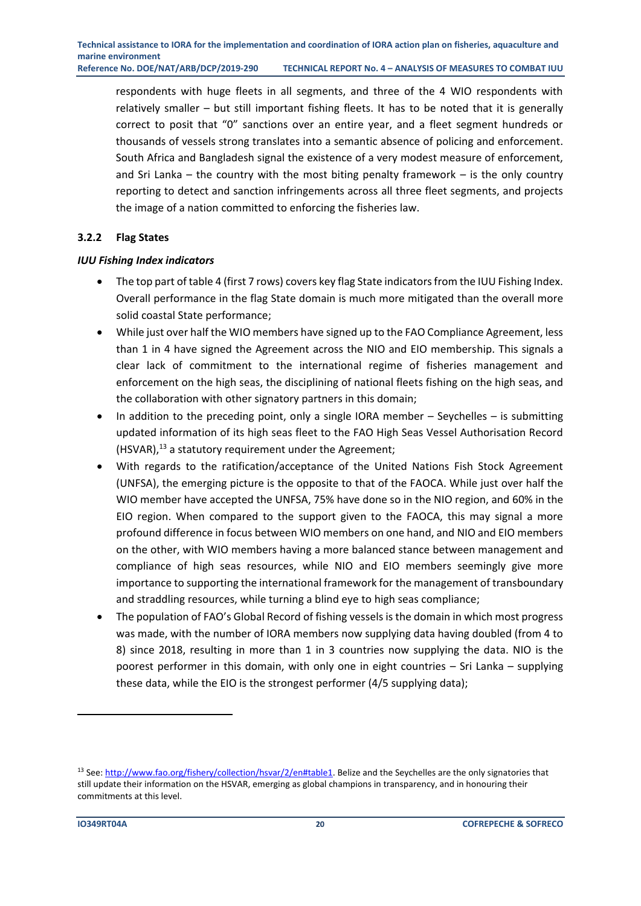respondents with huge fleets in all segments, and three of the 4 WIO respondents with relatively smaller – but still important fishing fleets. It has to be noted that it is generally correct to posit that "0" sanctions over an entire year, and a fleet segment hundreds or thousands of vessels strong translates into a semantic absence of policing and enforcement. South Africa and Bangladesh signal the existence of a very modest measure of enforcement, and Sri Lanka – the country with the most biting penalty framework – is the only country reporting to detect and sanction infringements across all three fleet segments, and projects the image of a nation committed to enforcing the fisheries law.

#### <span id="page-21-0"></span>**3.2.2 Flag States**

#### *IUU Fishing Index indicators*

- The top part of table 4 (first 7 rows) covers key flag State indicators from the IUU Fishing Index. Overall performance in the flag State domain is much more mitigated than the overall more solid coastal State performance;
- While just over half the WIO members have signed up to the FAO Compliance Agreement, less than 1 in 4 have signed the Agreement across the NIO and EIO membership. This signals a clear lack of commitment to the international regime of fisheries management and enforcement on the high seas, the disciplining of national fleets fishing on the high seas, and the collaboration with other signatory partners in this domain;
- In addition to the preceding point, only a single IORA member Seychelles is submitting updated information of its high seas fleet to the FAO High Seas Vessel Authorisation Record (HSVAR), <sup>13</sup> a statutory requirement under the Agreement;
- With regards to the ratification/acceptance of the United Nations Fish Stock Agreement (UNFSA), the emerging picture is the opposite to that of the FAOCA. While just over half the WIO member have accepted the UNFSA, 75% have done so in the NIO region, and 60% in the EIO region. When compared to the support given to the FAOCA, this may signal a more profound difference in focus between WIO members on one hand, and NIO and EIO members on the other, with WIO members having a more balanced stance between management and compliance of high seas resources, while NIO and EIO members seemingly give more importance to supporting the international framework for the management of transboundary and straddling resources, while turning a blind eye to high seas compliance;
- The population of FAO's Global Record of fishing vessels is the domain in which most progress was made, with the number of IORA members now supplying data having doubled (from 4 to 8) since 2018, resulting in more than 1 in 3 countries now supplying the data. NIO is the poorest performer in this domain, with only one in eight countries – Sri Lanka – supplying these data, while the EIO is the strongest performer (4/5 supplying data);

<sup>&</sup>lt;sup>13</sup> See[: http://www.fao.org/fishery/collection/hsvar/2/en#table1.](http://www.fao.org/fishery/collection/hsvar/2/en#table1) Belize and the Seychelles are the only signatories that still update their information on the HSVAR, emerging as global champions in transparency, and in honouring their commitments at this level.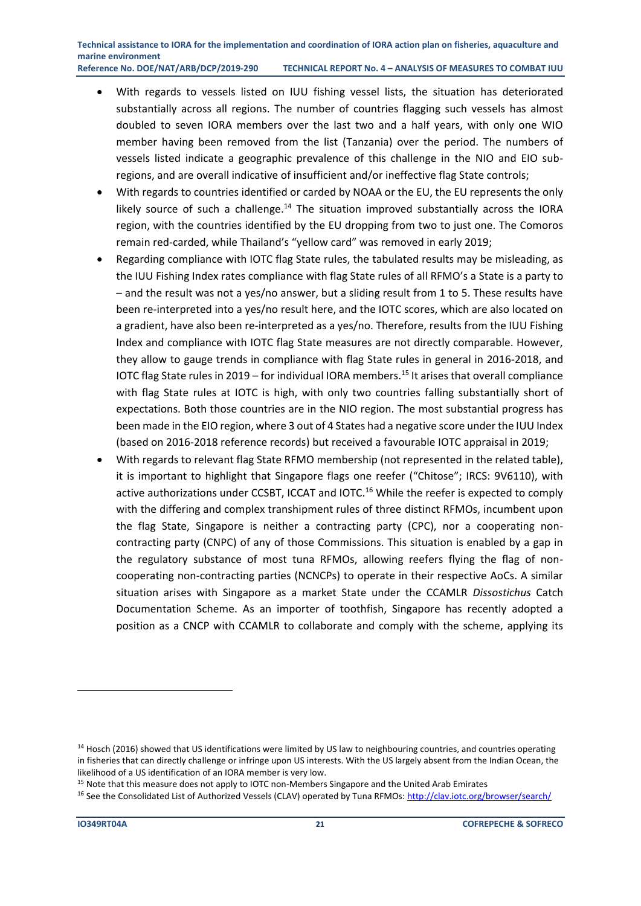- With regards to vessels listed on IUU fishing vessel lists, the situation has deteriorated substantially across all regions. The number of countries flagging such vessels has almost doubled to seven IORA members over the last two and a half years, with only one WIO member having been removed from the list (Tanzania) over the period. The numbers of vessels listed indicate a geographic prevalence of this challenge in the NIO and EIO subregions, and are overall indicative of insufficient and/or ineffective flag State controls;
- With regards to countries identified or carded by NOAA or the EU, the EU represents the only likely source of such a challenge.<sup>14</sup> The situation improved substantially across the IORA region, with the countries identified by the EU dropping from two to just one. The Comoros remain red-carded, while Thailand's "yellow card" was removed in early 2019;
- Regarding compliance with IOTC flag State rules, the tabulated results may be misleading, as the IUU Fishing Index rates compliance with flag State rules of all RFMO's a State is a party to – and the result was not a yes/no answer, but a sliding result from 1 to 5. These results have been re-interpreted into a yes/no result here, and the IOTC scores, which are also located on a gradient, have also been re-interpreted as a yes/no. Therefore, results from the IUU Fishing Index and compliance with IOTC flag State measures are not directly comparable. However, they allow to gauge trends in compliance with flag State rules in general in 2016-2018, and IOTC flag State rules in 2019 – for individual IORA members.<sup>15</sup> It arises that overall compliance with flag State rules at IOTC is high, with only two countries falling substantially short of expectations. Both those countries are in the NIO region. The most substantial progress has been made in the EIO region, where 3 out of 4 States had a negative score under the IUU Index (based on 2016-2018 reference records) but received a favourable IOTC appraisal in 2019;
- With regards to relevant flag State RFMO membership (not represented in the related table), it is important to highlight that Singapore flags one reefer ("Chitose"; IRCS: 9V6110), with active authorizations under CCSBT, ICCAT and IOTC.<sup>16</sup> While the reefer is expected to comply with the differing and complex transhipment rules of three distinct RFMOs, incumbent upon the flag State, Singapore is neither a contracting party (CPC), nor a cooperating noncontracting party (CNPC) of any of those Commissions. This situation is enabled by a gap in the regulatory substance of most tuna RFMOs, allowing reefers flying the flag of noncooperating non-contracting parties (NCNCPs) to operate in their respective AoCs. A similar situation arises with Singapore as a market State under the CCAMLR *Dissostichus* Catch Documentation Scheme. As an importer of toothfish, Singapore has recently adopted a position as a CNCP with CCAMLR to collaborate and comply with the scheme, applying its

<sup>&</sup>lt;sup>14</sup> Hosch (2016) showed that US identifications were limited by US law to neighbouring countries, and countries operating in fisheries that can directly challenge or infringe upon US interests. With the US largely absent from the Indian Ocean, the likelihood of a US identification of an IORA member is very low.

<sup>&</sup>lt;sup>15</sup> Note that this measure does not apply to IOTC non-Members Singapore and the United Arab Emirates

<sup>&</sup>lt;sup>16</sup> See the Consolidated List of Authorized Vessels (CLAV) operated by Tuna RFMOs[: http://clav.iotc.org/browser/search/](http://clav.iotc.org/browser/search/)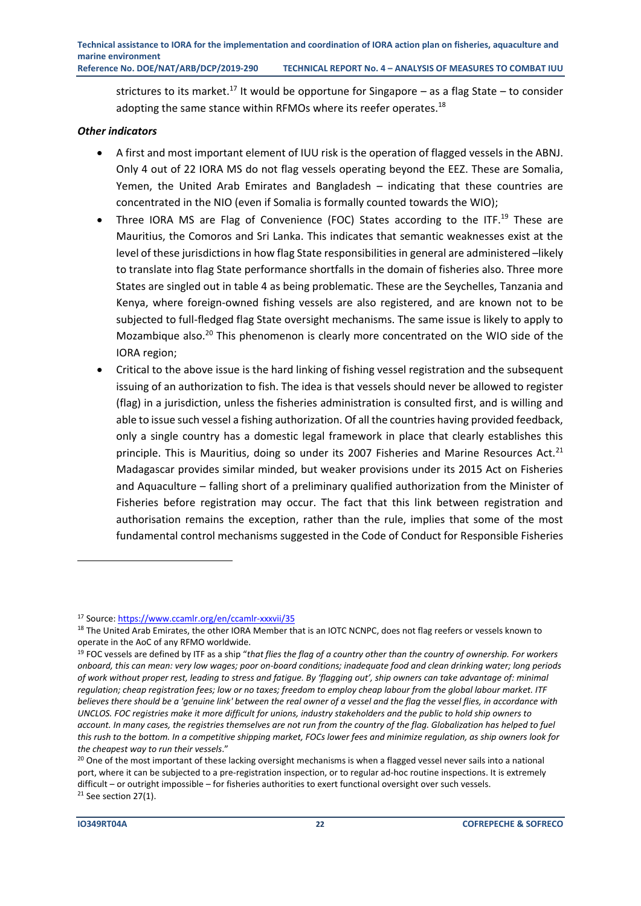strictures to its market.<sup>17</sup> It would be opportune for Singapore  $-$  as a flag State  $-$  to consider adopting the same stance within RFMOs where its reefer operates.<sup>18</sup>

#### *Other indicators*

- A first and most important element of IUU risk is the operation of flagged vessels in the ABNJ. Only 4 out of 22 IORA MS do not flag vessels operating beyond the EEZ. These are Somalia, Yemen, the United Arab Emirates and Bangladesh – indicating that these countries are concentrated in the NIO (even if Somalia is formally counted towards the WIO);
- Three IORA MS are Flag of Convenience (FOC) States according to the ITF.<sup>19</sup> These are Mauritius, the Comoros and Sri Lanka. This indicates that semantic weaknesses exist at the level of these jurisdictions in how flag State responsibilities in general are administered -likely to translate into flag State performance shortfalls in the domain of fisheries also. Three more States are singled out in table 4 as being problematic. These are the Seychelles, Tanzania and Kenya, where foreign-owned fishing vessels are also registered, and are known not to be subjected to full-fledged flag State oversight mechanisms. The same issue is likely to apply to Mozambique also.<sup>20</sup> This phenomenon is clearly more concentrated on the WIO side of the IORA region;
- Critical to the above issue is the hard linking of fishing vessel registration and the subsequent issuing of an authorization to fish. The idea is that vessels should never be allowed to register (flag) in a jurisdiction, unless the fisheries administration is consulted first, and is willing and able to issue such vessel a fishing authorization. Of all the countries having provided feedback, only a single country has a domestic legal framework in place that clearly establishes this principle. This is Mauritius, doing so under its 2007 Fisheries and Marine Resources Act.<sup>21</sup> Madagascar provides similar minded, but weaker provisions under its 2015 Act on Fisheries and Aquaculture – falling short of a preliminary qualified authorization from the Minister of Fisheries before registration may occur. The fact that this link between registration and authorisation remains the exception, rather than the rule, implies that some of the most fundamental control mechanisms suggested in the Code of Conduct for Responsible Fisheries

<sup>17</sup> Source[: https://www.ccamlr.org/en/ccamlr-xxxvii/35](https://www.ccamlr.org/en/ccamlr-xxxvii/35)

<sup>&</sup>lt;sup>18</sup> The United Arab Emirates, the other IORA Member that is an IOTC NCNPC, does not flag reefers or vessels known to operate in the AoC of any RFMO worldwide.

<sup>19</sup> FOC vessels are defined by ITF as a ship "*that flies the flag of a country other than the country of ownership. For workers onboard, this can mean: very low wages; poor on-board conditions; inadequate food and clean drinking water; long periods of work without proper rest, leading to stress and fatigue. By 'flagging out', ship owners can take advantage of: minimal regulation; cheap registration fees; low or no taxes; freedom to employ cheap labour from the global labour market. ITF believes there should be a 'genuine link' between the real owner of a vessel and the flag the vessel flies, in accordance with UNCLOS. FOC registries make it more difficult for unions, industry stakeholders and the public to hold ship owners to account. In many cases, the registries themselves are not run from the country of the flag. Globalization has helped to fuel this rush to the bottom. In a competitive shipping market, FOCs lower fees and minimize regulation, as ship owners look for the cheapest way to run their vessels*."

 $20$  One of the most important of these lacking oversight mechanisms is when a flagged vessel never sails into a national port, where it can be subjected to a pre-registration inspection, or to regular ad-hoc routine inspections. It is extremely difficult – or outright impossible – for fisheries authorities to exert functional oversight over such vessels.  $21$  See section 27(1).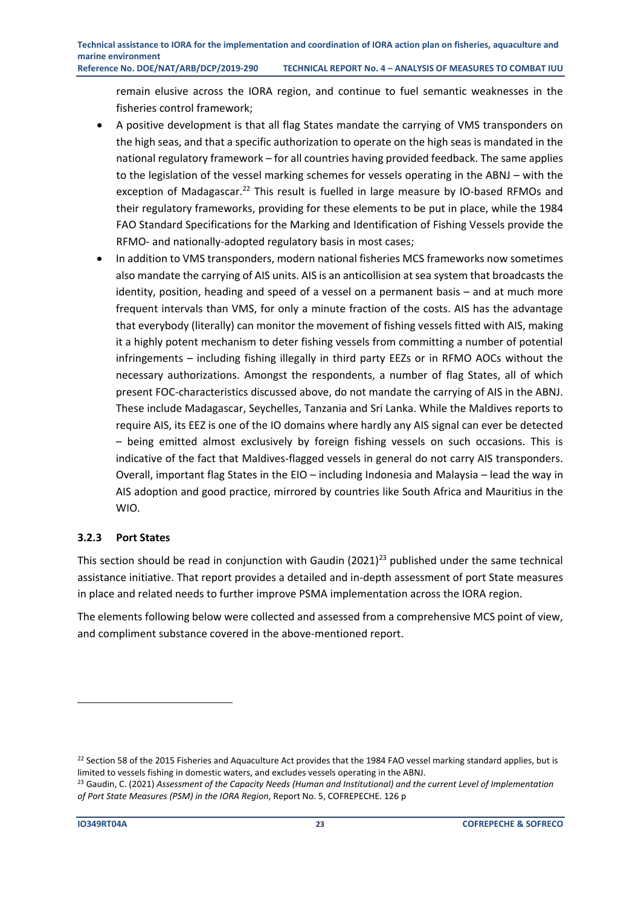remain elusive across the IORA region, and continue to fuel semantic weaknesses in the fisheries control framework;

- A positive development is that all flag States mandate the carrying of VMS transponders on the high seas, and that a specific authorization to operate on the high seas is mandated in the national regulatory framework – for all countries having provided feedback. The same applies to the legislation of the vessel marking schemes for vessels operating in the ABNJ – with the exception of Madagascar.<sup>22</sup> This result is fuelled in large measure by IO-based RFMOs and their regulatory frameworks, providing for these elements to be put in place, while the 1984 FAO Standard Specifications for the Marking and Identification of Fishing Vessels provide the RFMO- and nationally-adopted regulatory basis in most cases;
- In addition to VMS transponders, modern national fisheries MCS frameworks now sometimes also mandate the carrying of AIS units. AIS is an anticollision at sea system that broadcasts the identity, position, heading and speed of a vessel on a permanent basis – and at much more frequent intervals than VMS, for only a minute fraction of the costs. AIS has the advantage that everybody (literally) can monitor the movement of fishing vessels fitted with AIS, making it a highly potent mechanism to deter fishing vessels from committing a number of potential infringements – including fishing illegally in third party EEZs or in RFMO AOCs without the necessary authorizations. Amongst the respondents, a number of flag States, all of which present FOC-characteristics discussed above, do not mandate the carrying of AIS in the ABNJ. These include Madagascar, Seychelles, Tanzania and Sri Lanka. While the Maldives reports to require AIS, its EEZ is one of the IO domains where hardly any AIS signal can ever be detected – being emitted almost exclusively by foreign fishing vessels on such occasions. This is indicative of the fact that Maldives-flagged vessels in general do not carry AIS transponders. Overall, important flag States in the EIO – including Indonesia and Malaysia – lead the way in AIS adoption and good practice, mirrored by countries like South Africa and Mauritius in the WIO.

#### <span id="page-24-0"></span>**3.2.3 Port States**

This section should be read in conjunction with Gaudin (2021)<sup>23</sup> published under the same technical assistance initiative. That report provides a detailed and in-depth assessment of port State measures in place and related needs to further improve PSMA implementation across the IORA region.

The elements following below were collected and assessed from a comprehensive MCS point of view, and compliment substance covered in the above-mentioned report.

 $22$  Section 58 of the 2015 Fisheries and Aquaculture Act provides that the 1984 FAO vessel marking standard applies, but is limited to vessels fishing in domestic waters, and excludes vessels operating in the ABNJ.

<sup>23</sup> Gaudin, C. (2021) *Assessment of the Capacity Needs (Human and Institutional) and the current Level of Implementation of Port State Measures (PSM) in the IORA Region*, Report No. 5, COFREPECHE. 126 p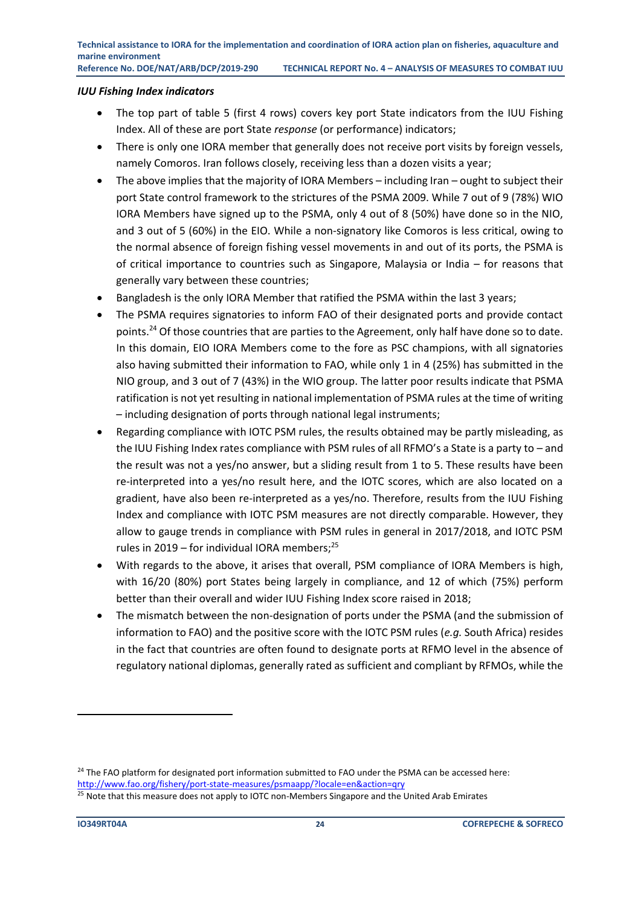#### *IUU Fishing Index indicators*

- The top part of table 5 (first 4 rows) covers key port State indicators from the IUU Fishing Index. All of these are port State *response* (or performance) indicators;
- There is only one IORA member that generally does not receive port visits by foreign vessels, namely Comoros. Iran follows closely, receiving less than a dozen visits a year;
- The above implies that the majority of IORA Members including Iran ought to subject their port State control framework to the strictures of the PSMA 2009. While 7 out of 9 (78%) WIO IORA Members have signed up to the PSMA, only 4 out of 8 (50%) have done so in the NIO, and 3 out of 5 (60%) in the EIO. While a non-signatory like Comoros is less critical, owing to the normal absence of foreign fishing vessel movements in and out of its ports, the PSMA is of critical importance to countries such as Singapore, Malaysia or India – for reasons that generally vary between these countries;
- Bangladesh is the only IORA Member that ratified the PSMA within the last 3 years;
- The PSMA requires signatories to inform FAO of their designated ports and provide contact points.<sup>24</sup> Of those countries that are parties to the Agreement, only half have done so to date. In this domain, EIO IORA Members come to the fore as PSC champions, with all signatories also having submitted their information to FAO, while only 1 in 4 (25%) has submitted in the NIO group, and 3 out of 7 (43%) in the WIO group. The latter poor results indicate that PSMA ratification is not yet resulting in national implementation of PSMA rules at the time of writing – including designation of ports through national legal instruments;
- Regarding compliance with IOTC PSM rules, the results obtained may be partly misleading, as the IUU Fishing Index rates compliance with PSM rules of all RFMO's a State is a party to – and the result was not a yes/no answer, but a sliding result from 1 to 5. These results have been re-interpreted into a yes/no result here, and the IOTC scores, which are also located on a gradient, have also been re-interpreted as a yes/no. Therefore, results from the IUU Fishing Index and compliance with IOTC PSM measures are not directly comparable. However, they allow to gauge trends in compliance with PSM rules in general in 2017/2018, and IOTC PSM rules in 2019 – for individual IORA members; 25
- With regards to the above, it arises that overall, PSM compliance of IORA Members is high, with 16/20 (80%) port States being largely in compliance, and 12 of which (75%) perform better than their overall and wider IUU Fishing Index score raised in 2018;
- The mismatch between the non-designation of ports under the PSMA (and the submission of information to FAO) and the positive score with the IOTC PSM rules (*e.g.* South Africa) resides in the fact that countries are often found to designate ports at RFMO level in the absence of regulatory national diplomas, generally rated as sufficient and compliant by RFMOs, while the

<sup>&</sup>lt;sup>24</sup> The FAO platform for designated port information submitted to FAO under the PSMA can be accessed here: <http://www.fao.org/fishery/port-state-measures/psmaapp/?locale=en&action=qry>

<sup>&</sup>lt;sup>25</sup> Note that this measure does not apply to IOTC non-Members Singapore and the United Arab Emirates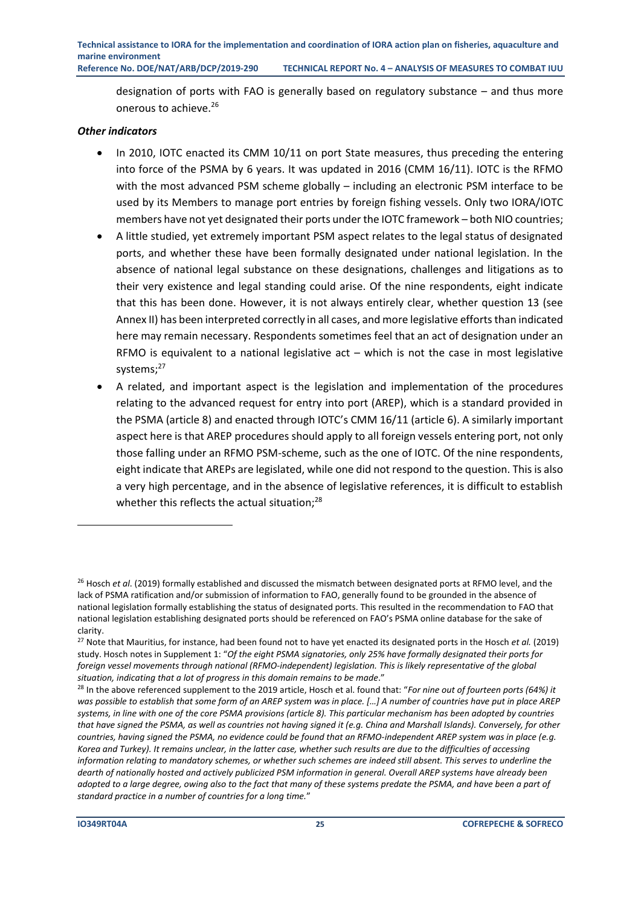designation of ports with FAO is generally based on regulatory substance – and thus more onerous to achieve.<sup>26</sup>

#### *Other indicators*

- In 2010, IOTC enacted its CMM 10/11 on port State measures, thus preceding the entering into force of the PSMA by 6 years. It was updated in 2016 (CMM 16/11). IOTC is the RFMO with the most advanced PSM scheme globally – including an electronic PSM interface to be used by its Members to manage port entries by foreign fishing vessels. Only two IORA/IOTC members have not yet designated their ports under the IOTC framework – both NIO countries;
- A little studied, yet extremely important PSM aspect relates to the legal status of designated ports, and whether these have been formally designated under national legislation. In the absence of national legal substance on these designations, challenges and litigations as to their very existence and legal standing could arise. Of the nine respondents, eight indicate that this has been done. However, it is not always entirely clear, whether question 13 (see Annex II) has been interpreted correctly in all cases, and more legislative efforts than indicated here may remain necessary. Respondents sometimes feel that an act of designation under an RFMO is equivalent to a national legislative act  $-$  which is not the case in most legislative systems; 27
- A related, and important aspect is the legislation and implementation of the procedures relating to the advanced request for entry into port (AREP), which is a standard provided in the PSMA (article 8) and enacted through IOTC's CMM 16/11 (article 6). A similarly important aspect here is that AREP procedures should apply to all foreign vessels entering port, not only those falling under an RFMO PSM-scheme, such as the one of IOTC. Of the nine respondents, eight indicate that AREPs are legislated, while one did not respond to the question. This is also a very high percentage, and in the absence of legislative references, it is difficult to establish whether this reflects the actual situation;<sup>28</sup>

<sup>26</sup> Hosch *et al*. (2019) formally established and discussed the mismatch between designated ports at RFMO level, and the lack of PSMA ratification and/or submission of information to FAO, generally found to be grounded in the absence of national legislation formally establishing the status of designated ports. This resulted in the recommendation to FAO that national legislation establishing designated ports should be referenced on FAO's PSMA online database for the sake of clarity.

<sup>27</sup> Note that Mauritius, for instance, had been found not to have yet enacted its designated ports in the Hosch *et al.* (2019) study. Hosch notes in Supplement 1: "*Of the eight PSMA signatories, only 25% have formally designated their ports for foreign vessel movements through national (RFMO-independent) legislation. This is likely representative of the global situation, indicating that a lot of progress in this domain remains to be made*."

<sup>28</sup> In the above referenced supplement to the 2019 article, Hosch et al. found that: "*For nine out of fourteen ports (64%) it*  was possible to establish that some form of an AREP system was in place. [...] A number of countries have put in place AREP *systems, in line with one of the core PSMA provisions (article 8). This particular mechanism has been adopted by countries that have signed the PSMA, as well as countries not having signed it (e.g. China and Marshall Islands). Conversely, for other countries, having signed the PSMA, no evidence could be found that an RFMO-independent AREP system was in place (e.g. Korea and Turkey). It remains unclear, in the latter case, whether such results are due to the difficulties of accessing information relating to mandatory schemes, or whether such schemes are indeed still absent. This serves to underline the dearth of nationally hosted and actively publicized PSM information in general. Overall AREP systems have already been adopted to a large degree, owing also to the fact that many of these systems predate the PSMA, and have been a part of standard practice in a number of countries for a long time.*"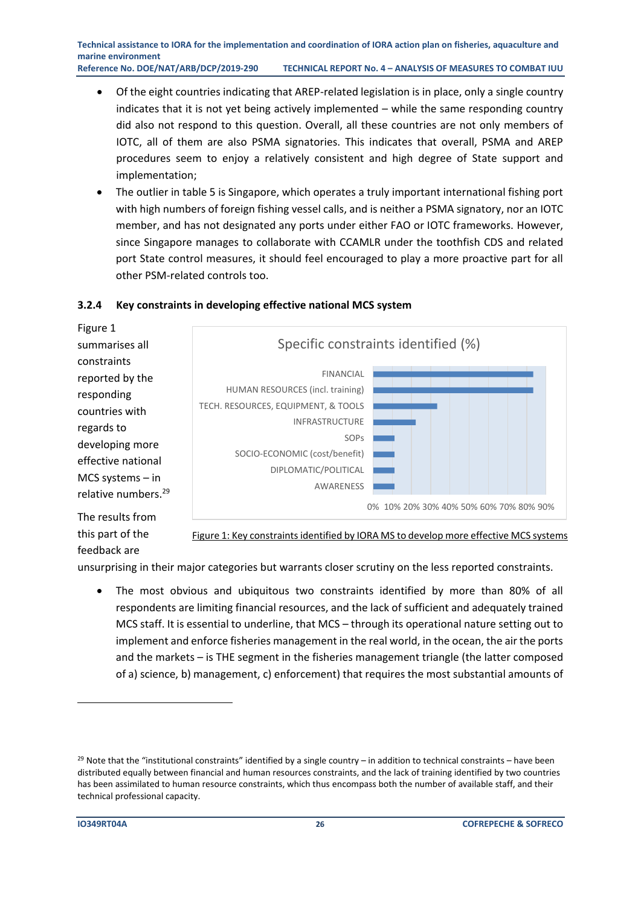- Of the eight countries indicating that AREP-related legislation is in place, only a single country indicates that it is not yet being actively implemented – while the same responding country did also not respond to this question. Overall, all these countries are not only members of IOTC, all of them are also PSMA signatories. This indicates that overall, PSMA and AREP procedures seem to enjoy a relatively consistent and high degree of State support and implementation;
- The outlier in table 5 is Singapore, which operates a truly important international fishing port with high numbers of foreign fishing vessel calls, and is neither a PSMA signatory, nor an IOTC member, and has not designated any ports under either FAO or IOTC frameworks. However, since Singapore manages to collaborate with CCAMLR under the toothfish CDS and related port State control measures, it should feel encouraged to play a more proactive part for all other PSM-related controls too.



#### <span id="page-27-0"></span>**3.2.4 Key constraints in developing effective national MCS system**

The results from this part of the feedback are

Figure 1: Key constraints identified by IORA MS to develop more effective MCS systems

unsurprising in their major categories but warrants closer scrutiny on the less reported constraints.

• The most obvious and ubiquitous two constraints identified by more than 80% of all respondents are limiting financial resources, and the lack of sufficient and adequately trained MCS staff. It is essential to underline, that MCS – through its operational nature setting out to implement and enforce fisheries management in the real world, in the ocean, the air the ports and the markets – is THE segment in the fisheries management triangle (the latter composed of a) science, b) management, c) enforcement) that requires the most substantial amounts of

 $29$  Note that the "institutional constraints" identified by a single country – in addition to technical constraints – have been distributed equally between financial and human resources constraints, and the lack of training identified by two countries has been assimilated to human resource constraints, which thus encompass both the number of available staff, and their technical professional capacity.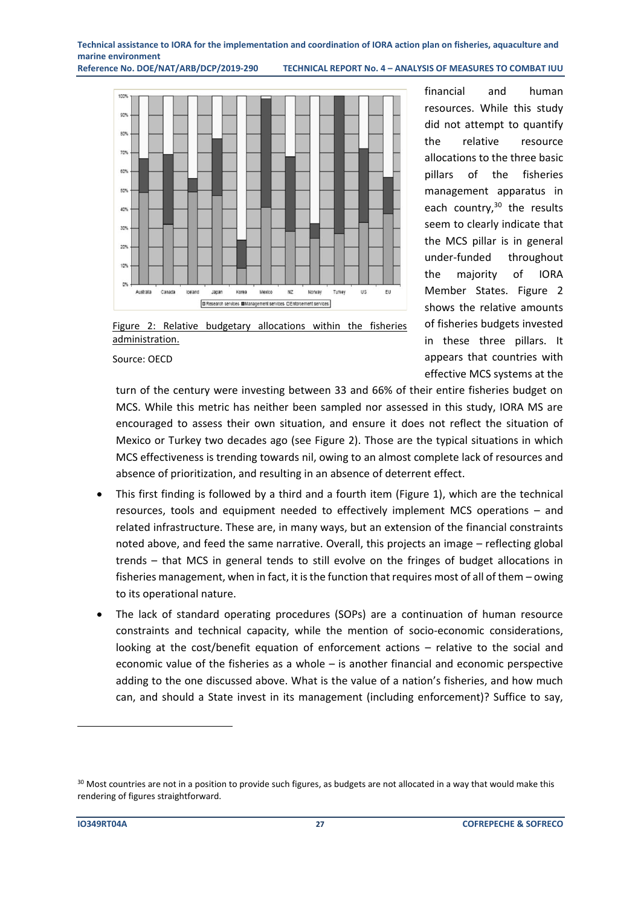**Reference No. DOE/NAT/ARB/DCP/2019-290 TECHNICAL REPORT No. 4 – ANALYSIS OF MEASURES TO COMBAT IUU**



financial and human resources. While this study did not attempt to quantify the relative resource allocations to the three basic pillars of the fisheries management apparatus in each country,<sup>30</sup> the results seem to clearly indicate that the MCS pillar is in general under-funded throughout the majority of IORA Member States. Figure 2 shows the relative amounts of fisheries budgets invested in these three pillars. It appears that countries with effective MCS systems at the

Figure 2: Relative budgetary allocations within the fisheries administration.

Source: OECD

turn of the century were investing between 33 and 66% of their entire fisheries budget on MCS. While this metric has neither been sampled nor assessed in this study, IORA MS are encouraged to assess their own situation, and ensure it does not reflect the situation of Mexico or Turkey two decades ago (see Figure 2). Those are the typical situations in which MCS effectiveness is trending towards nil, owing to an almost complete lack of resources and absence of prioritization, and resulting in an absence of deterrent effect.

- This first finding is followed by a third and a fourth item (Figure 1), which are the technical resources, tools and equipment needed to effectively implement MCS operations – and related infrastructure. These are, in many ways, but an extension of the financial constraints noted above, and feed the same narrative. Overall, this projects an image – reflecting global trends – that MCS in general tends to still evolve on the fringes of budget allocations in fisheries management, when in fact, it is the function that requires most of all of them – owing to its operational nature.
- The lack of standard operating procedures (SOPs) are a continuation of human resource constraints and technical capacity, while the mention of socio-economic considerations, looking at the cost/benefit equation of enforcement actions – relative to the social and economic value of the fisheries as a whole – is another financial and economic perspective adding to the one discussed above. What is the value of a nation's fisheries, and how much can, and should a State invest in its management (including enforcement)? Suffice to say,

<sup>&</sup>lt;sup>30</sup> Most countries are not in a position to provide such figures, as budgets are not allocated in a way that would make this rendering of figures straightforward.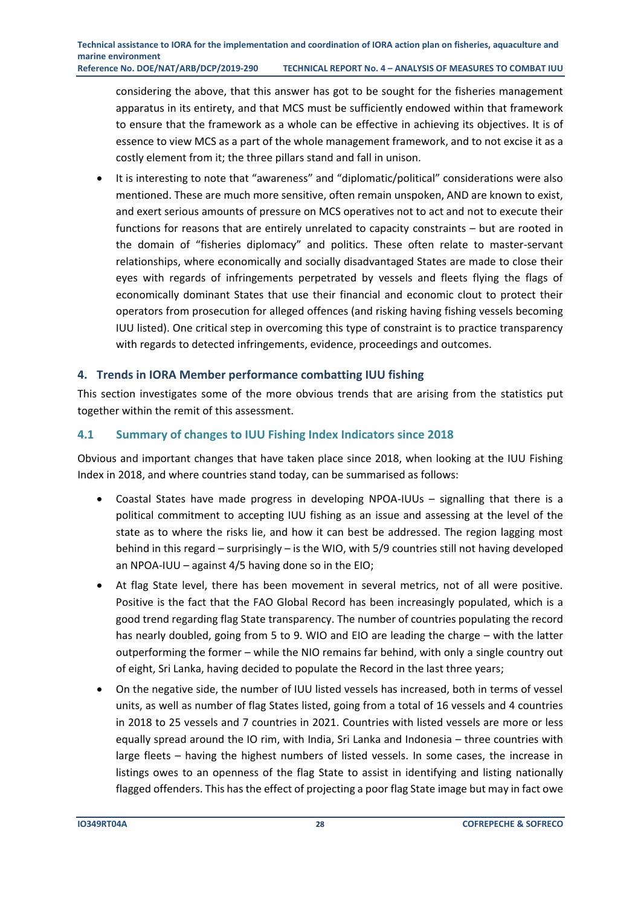considering the above, that this answer has got to be sought for the fisheries management apparatus in its entirety, and that MCS must be sufficiently endowed within that framework to ensure that the framework as a whole can be effective in achieving its objectives. It is of essence to view MCS as a part of the whole management framework, and to not excise it as a costly element from it; the three pillars stand and fall in unison.

• It is interesting to note that "awareness" and "diplomatic/political" considerations were also mentioned. These are much more sensitive, often remain unspoken, AND are known to exist, and exert serious amounts of pressure on MCS operatives not to act and not to execute their functions for reasons that are entirely unrelated to capacity constraints – but are rooted in the domain of "fisheries diplomacy" and politics. These often relate to master-servant relationships, where economically and socially disadvantaged States are made to close their eyes with regards of infringements perpetrated by vessels and fleets flying the flags of economically dominant States that use their financial and economic clout to protect their operators from prosecution for alleged offences (and risking having fishing vessels becoming IUU listed). One critical step in overcoming this type of constraint is to practice transparency with regards to detected infringements, evidence, proceedings and outcomes.

#### <span id="page-29-0"></span>**4. Trends in IORA Member performance combatting IUU fishing**

This section investigates some of the more obvious trends that are arising from the statistics put together within the remit of this assessment.

#### <span id="page-29-1"></span>**4.1 Summary of changes to IUU Fishing Index Indicators since 2018**

Obvious and important changes that have taken place since 2018, when looking at the IUU Fishing Index in 2018, and where countries stand today, can be summarised as follows:

- Coastal States have made progress in developing NPOA-IUUs signalling that there is a political commitment to accepting IUU fishing as an issue and assessing at the level of the state as to where the risks lie, and how it can best be addressed. The region lagging most behind in this regard – surprisingly – is the WIO, with 5/9 countries still not having developed an NPOA-IUU – against 4/5 having done so in the EIO;
- At flag State level, there has been movement in several metrics, not of all were positive. Positive is the fact that the FAO Global Record has been increasingly populated, which is a good trend regarding flag State transparency. The number of countries populating the record has nearly doubled, going from 5 to 9. WIO and EIO are leading the charge – with the latter outperforming the former – while the NIO remains far behind, with only a single country out of eight, Sri Lanka, having decided to populate the Record in the last three years;
- On the negative side, the number of IUU listed vessels has increased, both in terms of vessel units, as well as number of flag States listed, going from a total of 16 vessels and 4 countries in 2018 to 25 vessels and 7 countries in 2021. Countries with listed vessels are more or less equally spread around the IO rim, with India, Sri Lanka and Indonesia – three countries with large fleets – having the highest numbers of listed vessels. In some cases, the increase in listings owes to an openness of the flag State to assist in identifying and listing nationally flagged offenders. This has the effect of projecting a poor flag State image but may in fact owe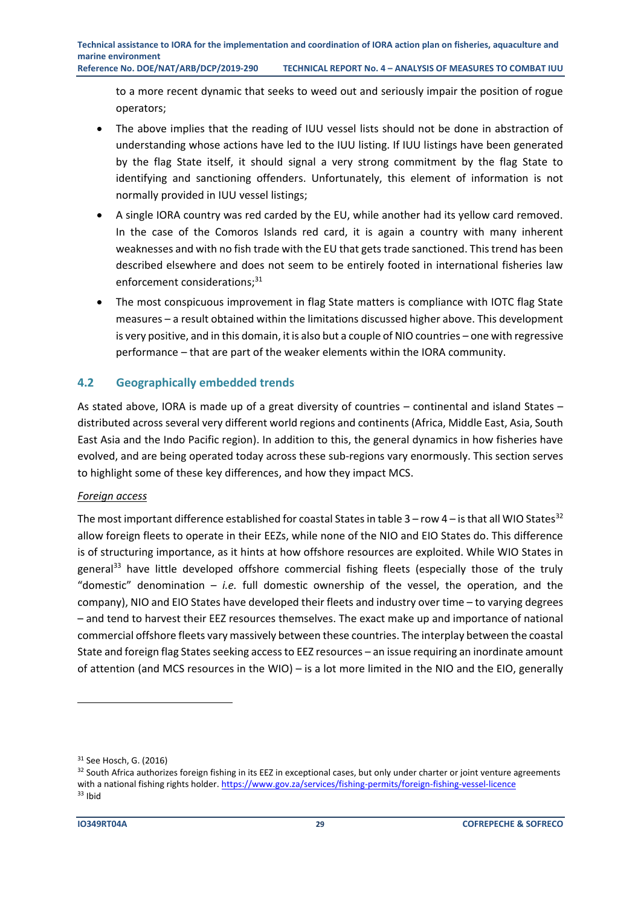to a more recent dynamic that seeks to weed out and seriously impair the position of rogue operators;

- The above implies that the reading of IUU vessel lists should not be done in abstraction of understanding whose actions have led to the IUU listing. If IUU listings have been generated by the flag State itself, it should signal a very strong commitment by the flag State to identifying and sanctioning offenders. Unfortunately, this element of information is not normally provided in IUU vessel listings;
- A single IORA country was red carded by the EU, while another had its yellow card removed. In the case of the Comoros Islands red card, it is again a country with many inherent weaknesses and with no fish trade with the EU that gets trade sanctioned. This trend has been described elsewhere and does not seem to be entirely footed in international fisheries law enforcement considerations;<sup>31</sup>
- The most conspicuous improvement in flag State matters is compliance with IOTC flag State measures – a result obtained within the limitations discussed higher above. This development is very positive, and in this domain, it is also but a couple of NIO countries – one with regressive performance – that are part of the weaker elements within the IORA community.

#### <span id="page-30-0"></span>**4.2 Geographically embedded trends**

As stated above, IORA is made up of a great diversity of countries – continental and island States – distributed across several very different world regions and continents (Africa, Middle East, Asia, South East Asia and the Indo Pacific region). In addition to this, the general dynamics in how fisheries have evolved, and are being operated today across these sub-regions vary enormously. This section serves to highlight some of these key differences, and how they impact MCS.

#### *Foreign access*

The most important difference established for coastal States in table  $3 - row 4 - is$  that all WIO States<sup>32</sup> allow foreign fleets to operate in their EEZs, while none of the NIO and EIO States do. This difference is of structuring importance, as it hints at how offshore resources are exploited. While WIO States in general<sup>33</sup> have little developed offshore commercial fishing fleets (especially those of the truly "domestic" denomination – *i.e.* full domestic ownership of the vessel, the operation, and the company), NIO and EIO States have developed their fleets and industry over time – to varying degrees – and tend to harvest their EEZ resources themselves. The exact make up and importance of national commercial offshore fleets vary massively between these countries. The interplay between the coastal State and foreign flag States seeking access to EEZ resources – an issue requiring an inordinate amount of attention (and MCS resources in the WIO) – is a lot more limited in the NIO and the EIO, generally

<sup>31</sup> See Hosch, G. (2016)

<sup>&</sup>lt;sup>32</sup> South Africa authorizes foreign fishing in its EEZ in exceptional cases, but only under charter or joint venture agreements with a national fishing rights holder[. https://www.gov.za/services/fishing-permits/foreign-fishing-vessel-licence](https://www.gov.za/services/fishing-permits/foreign-fishing-vessel-licence) <sup>33</sup> Ibid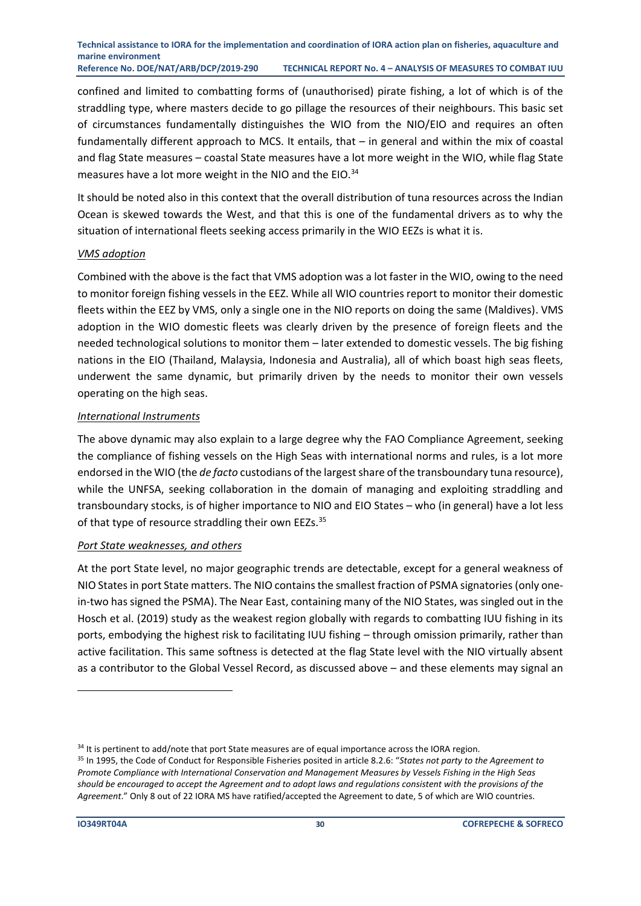confined and limited to combatting forms of (unauthorised) pirate fishing, a lot of which is of the straddling type, where masters decide to go pillage the resources of their neighbours. This basic set of circumstances fundamentally distinguishes the WIO from the NIO/EIO and requires an often fundamentally different approach to MCS. It entails, that – in general and within the mix of coastal and flag State measures – coastal State measures have a lot more weight in the WIO, while flag State measures have a lot more weight in the NIO and the EIO.<sup>34</sup>

It should be noted also in this context that the overall distribution of tuna resources across the Indian Ocean is skewed towards the West, and that this is one of the fundamental drivers as to why the situation of international fleets seeking access primarily in the WIO EEZs is what it is.

#### *VMS adoption*

Combined with the above is the fact that VMS adoption was a lot faster in the WIO, owing to the need to monitor foreign fishing vessels in the EEZ. While all WIO countries report to monitor their domestic fleets within the EEZ by VMS, only a single one in the NIO reports on doing the same (Maldives). VMS adoption in the WIO domestic fleets was clearly driven by the presence of foreign fleets and the needed technological solutions to monitor them – later extended to domestic vessels. The big fishing nations in the EIO (Thailand, Malaysia, Indonesia and Australia), all of which boast high seas fleets, underwent the same dynamic, but primarily driven by the needs to monitor their own vessels operating on the high seas.

#### *International Instruments*

The above dynamic may also explain to a large degree why the FAO Compliance Agreement, seeking the compliance of fishing vessels on the High Seas with international norms and rules, is a lot more endorsed in the WIO (the *de facto* custodians of the largest share of the transboundary tuna resource), while the UNFSA, seeking collaboration in the domain of managing and exploiting straddling and transboundary stocks, is of higher importance to NIO and EIO States – who (in general) have a lot less of that type of resource straddling their own EEZs.<sup>35</sup>

#### *Port State weaknesses, and others*

At the port State level, no major geographic trends are detectable, except for a general weakness of NIO States in port State matters. The NIO contains the smallest fraction of PSMA signatories (only onein-two has signed the PSMA). The Near East, containing many of the NIO States, was singled out in the Hosch et al. (2019) study as the weakest region globally with regards to combatting IUU fishing in its ports, embodying the highest risk to facilitating IUU fishing – through omission primarily, rather than active facilitation. This same softness is detected at the flag State level with the NIO virtually absent as a contributor to the Global Vessel Record, as discussed above – and these elements may signal an

<sup>&</sup>lt;sup>34</sup> It is pertinent to add/note that port State measures are of equal importance across the IORA region.

<sup>35</sup> In 1995, the Code of Conduct for Responsible Fisheries posited in article 8.2.6: "*States not party to the Agreement to Promote Compliance with International Conservation and Management Measures by Vessels Fishing in the High Seas should be encouraged to accept the Agreement and to adopt laws and regulations consistent with the provisions of the Agreement*." Only 8 out of 22 IORA MS have ratified/accepted the Agreement to date, 5 of which are WIO countries.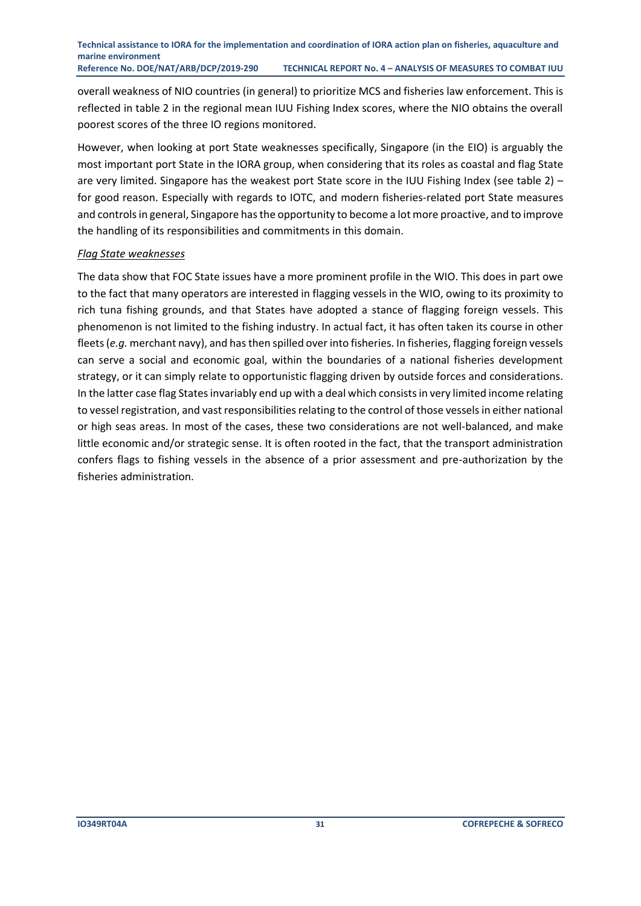overall weakness of NIO countries (in general) to prioritize MCS and fisheries law enforcement. This is reflected in table 2 in the regional mean IUU Fishing Index scores, where the NIO obtains the overall poorest scores of the three IO regions monitored.

However, when looking at port State weaknesses specifically, Singapore (in the EIO) is arguably the most important port State in the IORA group, when considering that its roles as coastal and flag State are very limited. Singapore has the weakest port State score in the IUU Fishing Index (see table 2) – for good reason. Especially with regards to IOTC, and modern fisheries-related port State measures and controls in general, Singapore has the opportunity to become a lot more proactive, and to improve the handling of its responsibilities and commitments in this domain.

#### *Flag State weaknesses*

The data show that FOC State issues have a more prominent profile in the WIO. This does in part owe to the fact that many operators are interested in flagging vessels in the WIO, owing to its proximity to rich tuna fishing grounds, and that States have adopted a stance of flagging foreign vessels. This phenomenon is not limited to the fishing industry. In actual fact, it has often taken its course in other fleets (*e.g.* merchant navy), and has then spilled over into fisheries. In fisheries, flagging foreign vessels can serve a social and economic goal, within the boundaries of a national fisheries development strategy, or it can simply relate to opportunistic flagging driven by outside forces and considerations. In the latter case flag States invariably end up with a deal which consists in very limited income relating to vessel registration, and vast responsibilities relating to the control of those vessels in either national or high seas areas. In most of the cases, these two considerations are not well-balanced, and make little economic and/or strategic sense. It is often rooted in the fact, that the transport administration confers flags to fishing vessels in the absence of a prior assessment and pre-authorization by the fisheries administration.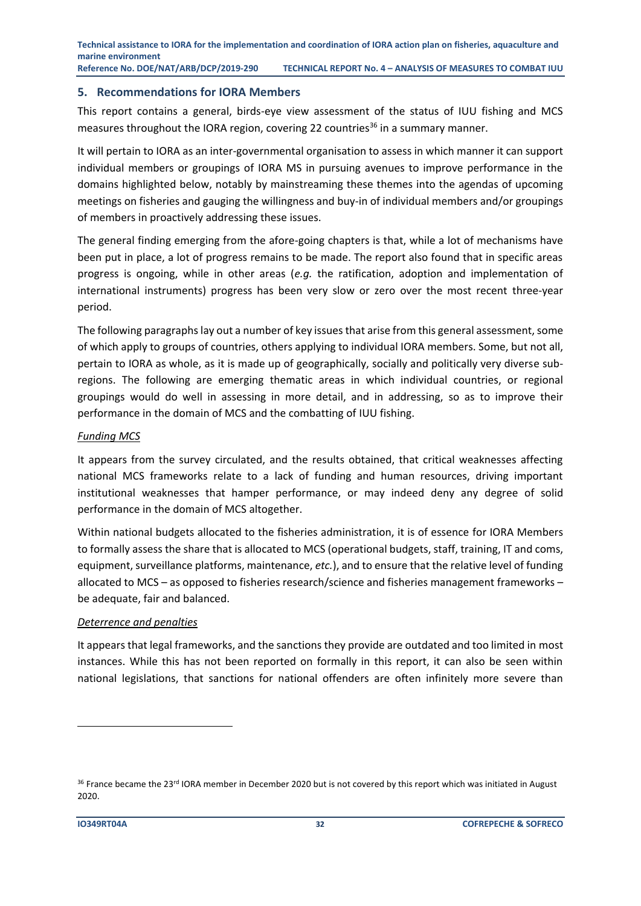#### <span id="page-33-0"></span>**5. Recommendations for IORA Members**

This report contains a general, birds-eye view assessment of the status of IUU fishing and MCS measures throughout the IORA region, covering 22 countries<sup>36</sup> in a summary manner.

It will pertain to IORA as an inter-governmental organisation to assess in which manner it can support individual members or groupings of IORA MS in pursuing avenues to improve performance in the domains highlighted below, notably by mainstreaming these themes into the agendas of upcoming meetings on fisheries and gauging the willingness and buy-in of individual members and/or groupings of members in proactively addressing these issues.

The general finding emerging from the afore-going chapters is that, while a lot of mechanisms have been put in place, a lot of progress remains to be made. The report also found that in specific areas progress is ongoing, while in other areas (*e.g.* the ratification, adoption and implementation of international instruments) progress has been very slow or zero over the most recent three-year period.

The following paragraphs lay out a number of key issues that arise from this general assessment, some of which apply to groups of countries, others applying to individual IORA members. Some, but not all, pertain to IORA as whole, as it is made up of geographically, socially and politically very diverse subregions. The following are emerging thematic areas in which individual countries, or regional groupings would do well in assessing in more detail, and in addressing, so as to improve their performance in the domain of MCS and the combatting of IUU fishing.

#### *Funding MCS*

It appears from the survey circulated, and the results obtained, that critical weaknesses affecting national MCS frameworks relate to a lack of funding and human resources, driving important institutional weaknesses that hamper performance, or may indeed deny any degree of solid performance in the domain of MCS altogether.

Within national budgets allocated to the fisheries administration, it is of essence for IORA Members to formally assess the share that is allocated to MCS (operational budgets, staff, training, IT and coms, equipment, surveillance platforms, maintenance, *etc.*), and to ensure that the relative level of funding allocated to MCS – as opposed to fisheries research/science and fisheries management frameworks – be adequate, fair and balanced.

#### *Deterrence and penalties*

It appears that legal frameworks, and the sanctions they provide are outdated and too limited in most instances. While this has not been reported on formally in this report, it can also be seen within national legislations, that sanctions for national offenders are often infinitely more severe than

<sup>&</sup>lt;sup>36</sup> France became the 23<sup>rd</sup> IORA member in December 2020 but is not covered by this report which was initiated in August 2020.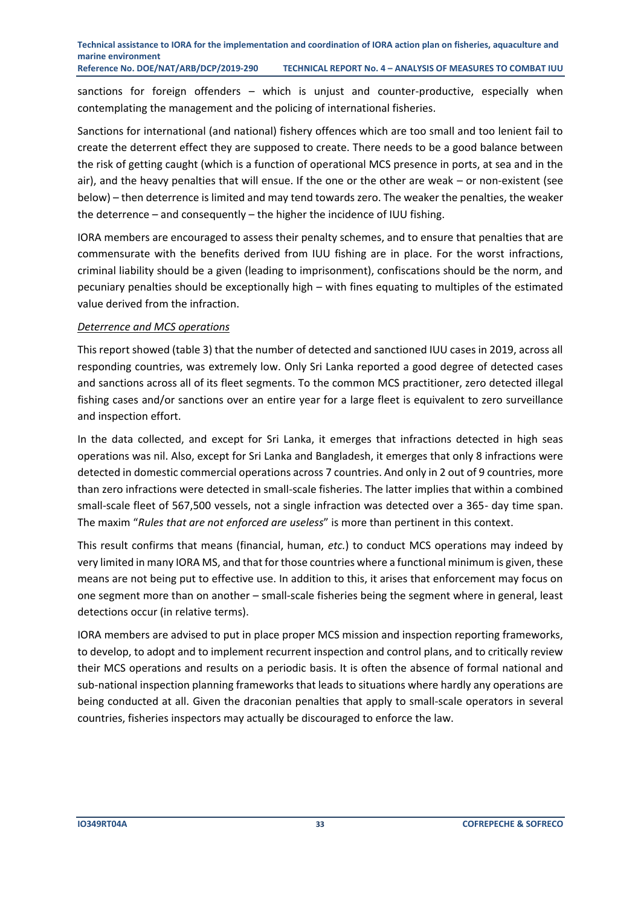sanctions for foreign offenders – which is unjust and counter-productive, especially when contemplating the management and the policing of international fisheries.

Sanctions for international (and national) fishery offences which are too small and too lenient fail to create the deterrent effect they are supposed to create. There needs to be a good balance between the risk of getting caught (which is a function of operational MCS presence in ports, at sea and in the air), and the heavy penalties that will ensue. If the one or the other are weak – or non-existent (see below) – then deterrence is limited and may tend towards zero. The weaker the penalties, the weaker the deterrence – and consequently – the higher the incidence of IUU fishing.

IORA members are encouraged to assess their penalty schemes, and to ensure that penalties that are commensurate with the benefits derived from IUU fishing are in place. For the worst infractions, criminal liability should be a given (leading to imprisonment), confiscations should be the norm, and pecuniary penalties should be exceptionally high – with fines equating to multiples of the estimated value derived from the infraction.

#### *Deterrence and MCS operations*

This report showed (table 3) that the number of detected and sanctioned IUU cases in 2019, across all responding countries, was extremely low. Only Sri Lanka reported a good degree of detected cases and sanctions across all of its fleet segments. To the common MCS practitioner, zero detected illegal fishing cases and/or sanctions over an entire year for a large fleet is equivalent to zero surveillance and inspection effort.

In the data collected, and except for Sri Lanka, it emerges that infractions detected in high seas operations was nil. Also, except for Sri Lanka and Bangladesh, it emerges that only 8 infractions were detected in domestic commercial operations across 7 countries. And only in 2 out of 9 countries, more than zero infractions were detected in small-scale fisheries. The latter implies that within a combined small-scale fleet of 567,500 vessels, not a single infraction was detected over a 365- day time span. The maxim "*Rules that are not enforced are useless*" is more than pertinent in this context.

This result confirms that means (financial, human, *etc.*) to conduct MCS operations may indeed by very limited in many IORA MS, and that for those countries where a functional minimum is given, these means are not being put to effective use. In addition to this, it arises that enforcement may focus on one segment more than on another – small-scale fisheries being the segment where in general, least detections occur (in relative terms).

IORA members are advised to put in place proper MCS mission and inspection reporting frameworks, to develop, to adopt and to implement recurrent inspection and control plans, and to critically review their MCS operations and results on a periodic basis. It is often the absence of formal national and sub-national inspection planning frameworks that leads to situations where hardly any operations are being conducted at all. Given the draconian penalties that apply to small-scale operators in several countries, fisheries inspectors may actually be discouraged to enforce the law.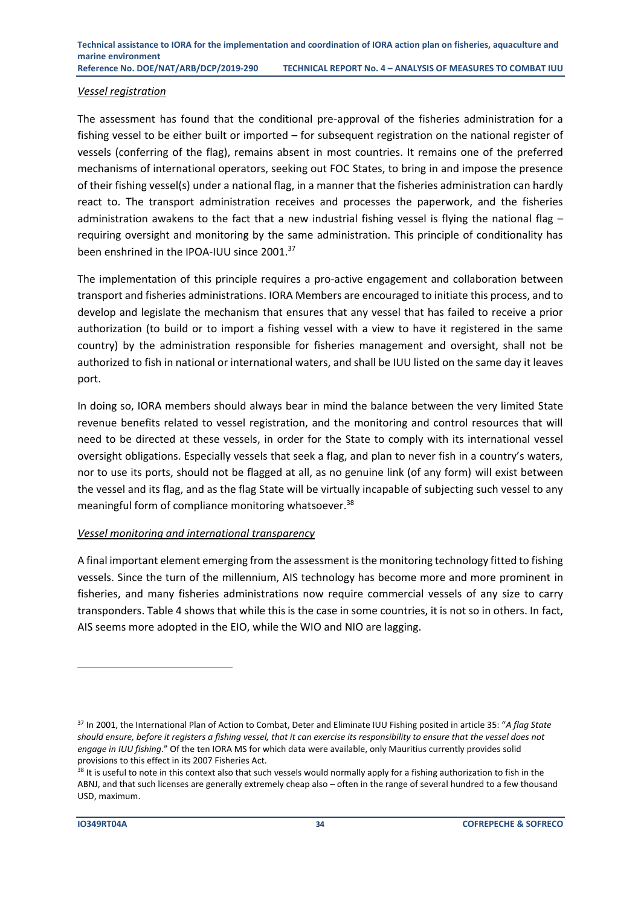#### *Vessel registration*

The assessment has found that the conditional pre-approval of the fisheries administration for a fishing vessel to be either built or imported – for subsequent registration on the national register of vessels (conferring of the flag), remains absent in most countries. It remains one of the preferred mechanisms of international operators, seeking out FOC States, to bring in and impose the presence of their fishing vessel(s) under a national flag, in a manner that the fisheries administration can hardly react to. The transport administration receives and processes the paperwork, and the fisheries administration awakens to the fact that a new industrial fishing vessel is flying the national flag  $$ requiring oversight and monitoring by the same administration. This principle of conditionality has been enshrined in the IPOA-IUU since 2001.<sup>37</sup>

The implementation of this principle requires a pro-active engagement and collaboration between transport and fisheries administrations. IORA Members are encouraged to initiate this process, and to develop and legislate the mechanism that ensures that any vessel that has failed to receive a prior authorization (to build or to import a fishing vessel with a view to have it registered in the same country) by the administration responsible for fisheries management and oversight, shall not be authorized to fish in national or international waters, and shall be IUU listed on the same day it leaves port.

In doing so, IORA members should always bear in mind the balance between the very limited State revenue benefits related to vessel registration, and the monitoring and control resources that will need to be directed at these vessels, in order for the State to comply with its international vessel oversight obligations. Especially vessels that seek a flag, and plan to never fish in a country's waters, nor to use its ports, should not be flagged at all, as no genuine link (of any form) will exist between the vessel and its flag, and as the flag State will be virtually incapable of subjecting such vessel to any meaningful form of compliance monitoring whatsoever.<sup>38</sup>

#### *Vessel monitoring and international transparency*

A final important element emerging from the assessment is the monitoring technology fitted to fishing vessels. Since the turn of the millennium, AIS technology has become more and more prominent in fisheries, and many fisheries administrations now require commercial vessels of any size to carry transponders. Table 4 shows that while this is the case in some countries, it is not so in others. In fact, AIS seems more adopted in the EIO, while the WIO and NIO are lagging.

<sup>37</sup> In 2001, the International Plan of Action to Combat, Deter and Eliminate IUU Fishing posited in article 35: "*A flag State should ensure, before it registers a fishing vessel, that it can exercise its responsibility to ensure that the vessel does not engage in IUU fishing*." Of the ten IORA MS for which data were available, only Mauritius currently provides solid provisions to this effect in its 2007 Fisheries Act.

<sup>&</sup>lt;sup>38</sup> It is useful to note in this context also that such vessels would normally apply for a fishing authorization to fish in the ABNJ, and that such licenses are generally extremely cheap also – often in the range of several hundred to a few thousand USD, maximum.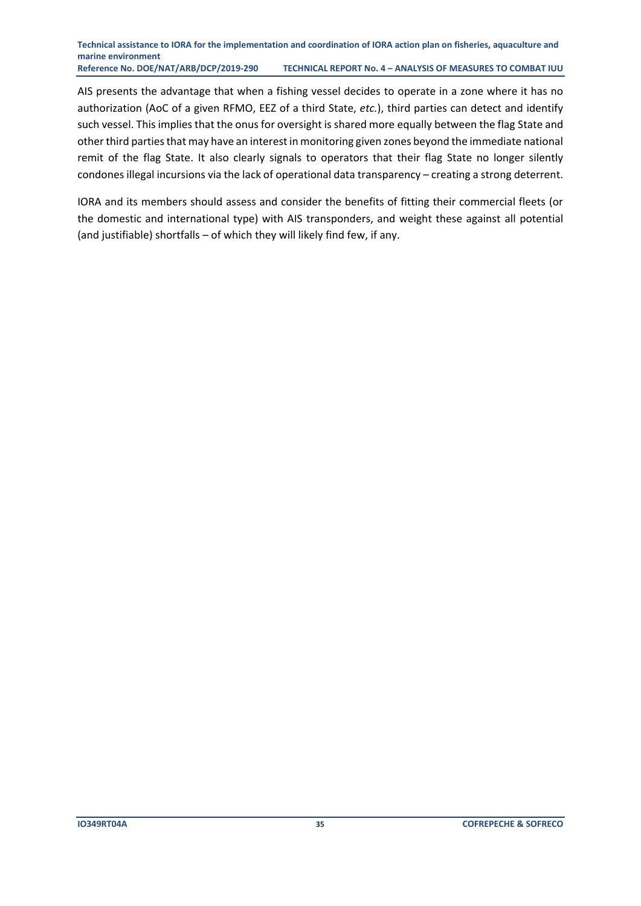#### **Technical assistance to IORA for the implementation and coordination of IORA action plan on fisheries, aquaculture and marine environment Reference No. DOE/NAT/ARB/DCP/2019-290 TECHNICAL REPORT No. 4 – ANALYSIS OF MEASURES TO COMBAT IUU**

AIS presents the advantage that when a fishing vessel decides to operate in a zone where it has no authorization (AoC of a given RFMO, EEZ of a third State, *etc.*), third parties can detect and identify such vessel. This implies that the onus for oversight is shared more equally between the flag State and other third parties that may have an interest in monitoring given zones beyond the immediate national remit of the flag State. It also clearly signals to operators that their flag State no longer silently condones illegal incursions via the lack of operational data transparency – creating a strong deterrent.

IORA and its members should assess and consider the benefits of fitting their commercial fleets (or the domestic and international type) with AIS transponders, and weight these against all potential (and justifiable) shortfalls – of which they will likely find few, if any.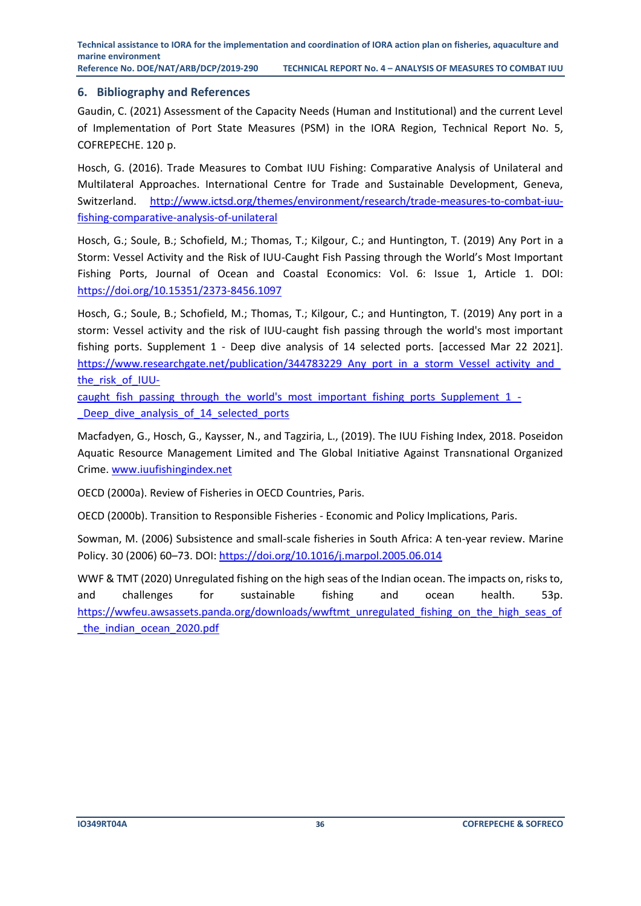#### <span id="page-37-0"></span>**6. Bibliography and References**

Gaudin, C. (2021) Assessment of the Capacity Needs (Human and Institutional) and the current Level of Implementation of Port State Measures (PSM) in the IORA Region, Technical Report No. 5, COFREPECHE. 120 p.

Hosch, G. (2016). Trade Measures to Combat IUU Fishing: Comparative Analysis of Unilateral and Multilateral Approaches. International Centre for Trade and Sustainable Development, Geneva, Switzerland. [http://www.ictsd.org/themes/environment/research/trade-measures-to-combat-iuu](http://www.ictsd.org/themes/environment/research/trade-measures-to-combat-iuu-fishing-comparative-analysis-of-unilateral)[fishing-comparative-analysis-of-unilateral](http://www.ictsd.org/themes/environment/research/trade-measures-to-combat-iuu-fishing-comparative-analysis-of-unilateral)

Hosch, G.; Soule, B.; Schofield, M.; Thomas, T.; Kilgour, C.; and Huntington, T. (2019) Any Port in a Storm: Vessel Activity and the Risk of IUU-Caught Fish Passing through the World's Most Important Fishing Ports, Journal of Ocean and Coastal Economics: Vol. 6: Issue 1, Article 1. DOI: <https://doi.org/10.15351/2373-8456.1097>

Hosch, G.; Soule, B.; Schofield, M.; Thomas, T.; Kilgour, C.; and Huntington, T. (2019) Any port in a storm: Vessel activity and the risk of IUU-caught fish passing through the world's most important fishing ports. Supplement 1 - Deep dive analysis of 14 selected ports. [accessed Mar 22 2021]. https://www.researchgate.net/publication/344783229\_Any\_port\_in\_a\_storm\_Vessel\_activity\_and [the\\_risk\\_of\\_IUU-](https://www.researchgate.net/publication/344783229_Any_port_in_a_storm_Vessel_activity_and_the_risk_of_IUU-caught_fish_passing_through_the_world)

[caught\\_fish\\_passing\\_through\\_the\\_world's\\_most\\_important\\_fishing\\_ports\\_Supplement\\_1\\_-](https://www.researchgate.net/publication/344783229_Any_port_in_a_storm_Vessel_activity_and_the_risk_of_IUU-caught_fish_passing_through_the_world) Deep\_dive\_analysis\_of\_14\_selected\_ports

Macfadyen, G., Hosch, G., Kaysser, N., and Tagziria, L., (2019). The IUU Fishing Index, 2018. Poseidon Aquatic Resource Management Limited and The Global Initiative Against Transnational Organized Crime. [www.iuufishingindex.net](http://www.iuufishingindex.net/)

OECD (2000a). Review of Fisheries in OECD Countries, Paris.

OECD (2000b). Transition to Responsible Fisheries - Economic and Policy Implications, Paris.

Sowman, M. (2006) Subsistence and small-scale fisheries in South Africa: A ten-year review. Marine Policy. 30 (2006) 60–73. DOI:<https://doi.org/10.1016/j.marpol.2005.06.014>

WWF & TMT (2020) Unregulated fishing on the high seas of the Indian ocean. The impacts on, risks to, and challenges for sustainable fishing and ocean health. 53p. [https://wwfeu.awsassets.panda.org/downloads/wwftmt\\_unregulated\\_fishing\\_on\\_the\\_high\\_seas\\_of](https://wwfeu.awsassets.panda.org/downloads/wwftmt_unregulated_fishing_on_the_high_seas_of_the_indian_ocean_2020.pdf) [\\_the\\_indian\\_ocean\\_2020.pdf](https://wwfeu.awsassets.panda.org/downloads/wwftmt_unregulated_fishing_on_the_high_seas_of_the_indian_ocean_2020.pdf)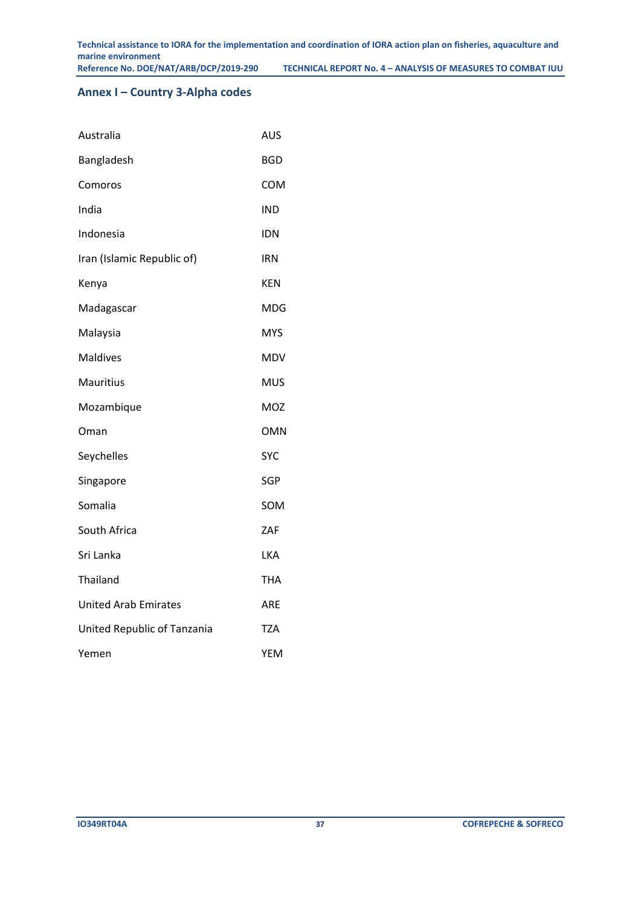#### <span id="page-38-0"></span>**Annex I – Country 3-Alpha codes**

| Australia                   | <b>AUS</b> |
|-----------------------------|------------|
| Bangladesh                  | <b>BGD</b> |
| Comoros                     | <b>COM</b> |
| India                       | <b>IND</b> |
| Indonesia                   | <b>IDN</b> |
| Iran (Islamic Republic of)  | <b>IRN</b> |
| Kenya                       | <b>KEN</b> |
| Madagascar                  | <b>MDG</b> |
| Malaysia                    | <b>MYS</b> |
| <b>Maldives</b>             | <b>MDV</b> |
| <b>Mauritius</b>            | <b>MUS</b> |
| Mozambique                  | <b>MOZ</b> |
| Oman                        | <b>OMN</b> |
| Seychelles                  | <b>SYC</b> |
| Singapore                   | SGP        |
| Somalia                     | SOM        |
| South Africa                | ZAF        |
| Sri Lanka                   | <b>LKA</b> |
| Thailand                    | THA        |
| <b>United Arab Emirates</b> | ARE        |
| United Republic of Tanzania | <b>TZA</b> |
| Yemen                       | YEM        |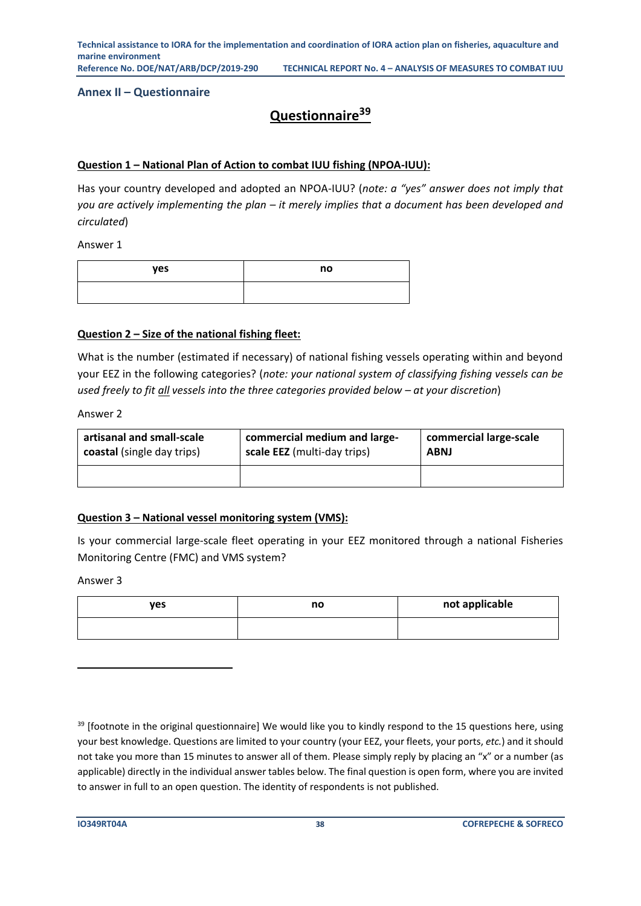**Technical assistance to IORA for the implementation and coordination of IORA action plan on fisheries, aquaculture and marine environment Reference No. DOE/NAT/ARB/DCP/2019-290 TECHNICAL REPORT No. 4 – ANALYSIS OF MEASURES TO COMBAT IUU**

<span id="page-39-0"></span>**Annex II – Questionnaire**

#### **Questionnaire<sup>39</sup>**

#### **Question 1 – National Plan of Action to combat IUU fishing (NPOA-IUU):**

Has your country developed and adopted an NPOA-IUU? (*note: a "yes" answer does not imply that you are actively implementing the plan – it merely implies that a document has been developed and circulated*)

Answer 1

| yes | no |
|-----|----|
|     |    |

#### **Question 2 – Size of the national fishing fleet:**

What is the number (estimated if necessary) of national fishing vessels operating within and beyond your EEZ in the following categories? (*note: your national system of classifying fishing vessels can be used freely to fit all vessels into the three categories provided below – at your discretion*)

Answer 2

| artisanal and small-scale  | commercial medium and large- | commercial large-scale |
|----------------------------|------------------------------|------------------------|
| coastal (single day trips) | scale EEZ (multi-day trips)  | <b>ABNJ</b>            |
|                            |                              |                        |

#### **Question 3 – National vessel monitoring system (VMS):**

Is your commercial large-scale fleet operating in your EEZ monitored through a national Fisheries Monitoring Centre (FMC) and VMS system?

| ves | no | not applicable |
|-----|----|----------------|
|     |    |                |

<sup>&</sup>lt;sup>39</sup> [footnote in the original questionnaire] We would like you to kindly respond to the 15 questions here, using your best knowledge. Questions are limited to your country (your EEZ, your fleets, your ports, *etc.*) and it should not take you more than 15 minutes to answer all of them. Please simply reply by placing an "x" or a number (as applicable) directly in the individual answer tables below. The final question is open form, where you are invited to answer in full to an open question. The identity of respondents is not published.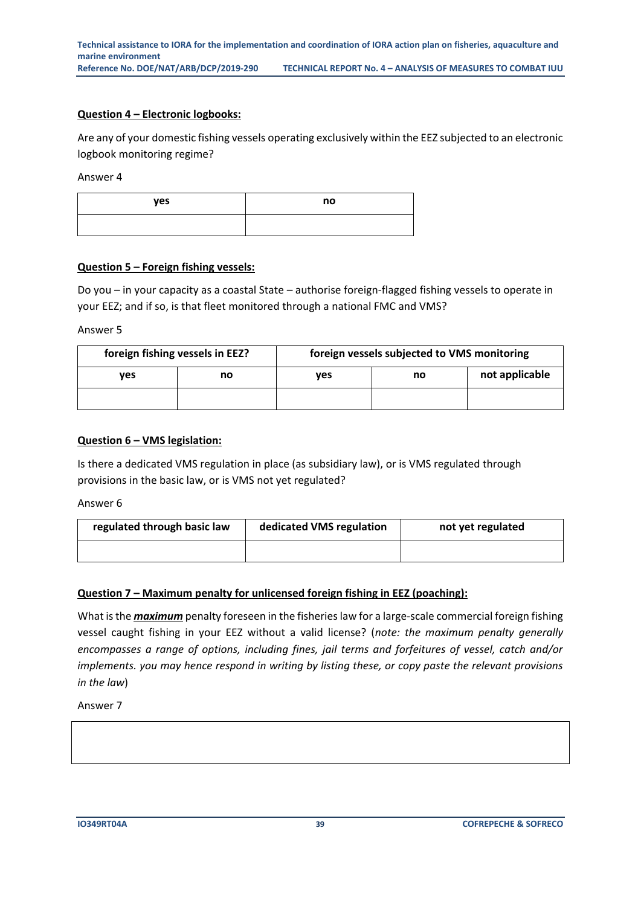#### **Question 4 – Electronic logbooks:**

Are any of your domestic fishing vessels operating exclusively within the EEZ subjected to an electronic logbook monitoring regime?

Answer 4

| yes | no |
|-----|----|
|     |    |

#### **Question 5 – Foreign fishing vessels:**

Do you – in your capacity as a coastal State – authorise foreign-flagged fishing vessels to operate in your EEZ; and if so, is that fleet monitored through a national FMC and VMS?

Answer 5

| foreign fishing vessels in EEZ? |    |     | foreign vessels subjected to VMS monitoring |                |
|---------------------------------|----|-----|---------------------------------------------|----------------|
| ves                             | no | ves | no                                          | not applicable |
|                                 |    |     |                                             |                |

#### **Question 6 – VMS legislation:**

Is there a dedicated VMS regulation in place (as subsidiary law), or is VMS regulated through provisions in the basic law, or is VMS not yet regulated?

Answer 6

| regulated through basic law | dedicated VMS regulation | not yet regulated |
|-----------------------------|--------------------------|-------------------|
|                             |                          |                   |

#### **Question 7 – Maximum penalty for unlicensed foreign fishing in EEZ (poaching):**

What is the *maximum* penalty foreseen in the fisheries law for a large-scale commercial foreign fishing vessel caught fishing in your EEZ without a valid license? (*note: the maximum penalty generally encompasses a range of options, including fines, jail terms and forfeitures of vessel, catch and/or implements. you may hence respond in writing by listing these, or copy paste the relevant provisions in the law*)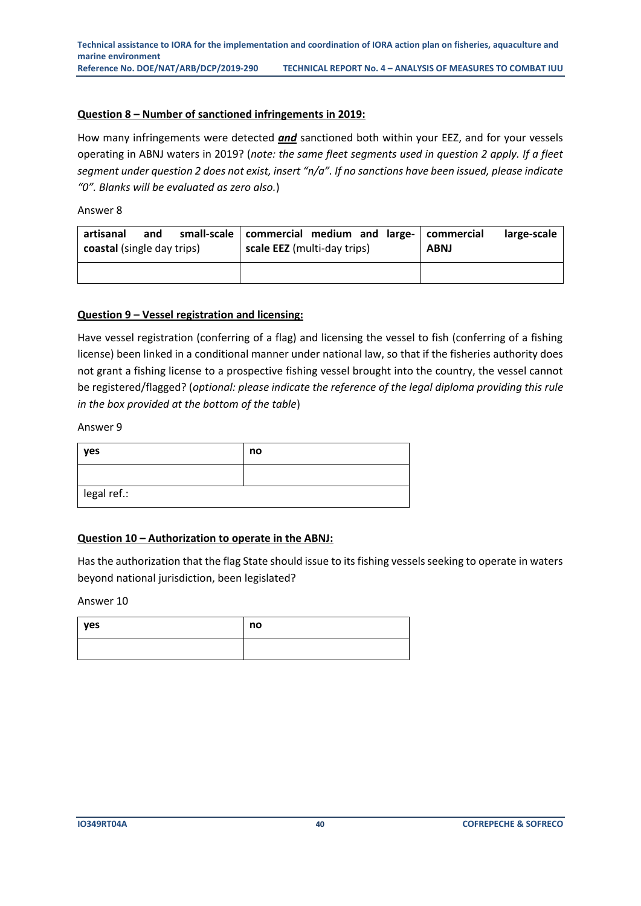#### **Question 8 – Number of sanctioned infringements in 2019:**

How many infringements were detected *and* sanctioned both within your EEZ, and for your vessels operating in ABNJ waters in 2019? (*note: the same fleet segments used in question 2 apply. If a fleet segment under question 2 does not exist, insert "n/a". If no sanctions have been issued, please indicate "0". Blanks will be evaluated as zero also.*)

Answer 8

| artisanal<br>coastal (single day trips) | and | small-scale   commercial medium and large-   commercial<br>scale EEZ (multi-day trips) |  | <b>ABNJ</b> | large-scale |
|-----------------------------------------|-----|----------------------------------------------------------------------------------------|--|-------------|-------------|
|                                         |     |                                                                                        |  |             |             |

#### **Question 9 – Vessel registration and licensing:**

Have vessel registration (conferring of a flag) and licensing the vessel to fish (conferring of a fishing license) been linked in a conditional manner under national law, so that if the fisheries authority does not grant a fishing license to a prospective fishing vessel brought into the country, the vessel cannot be registered/flagged? (*optional: please indicate the reference of the legal diploma providing this rule in the box provided at the bottom of the table*)

Answer 9

| yes         | no |
|-------------|----|
|             |    |
| legal ref.: |    |

#### **Question 10 – Authorization to operate in the ABNJ:**

Has the authorization that the flag State should issue to its fishing vessels seeking to operate in waters beyond national jurisdiction, been legislated?

| yes | no |
|-----|----|
|     |    |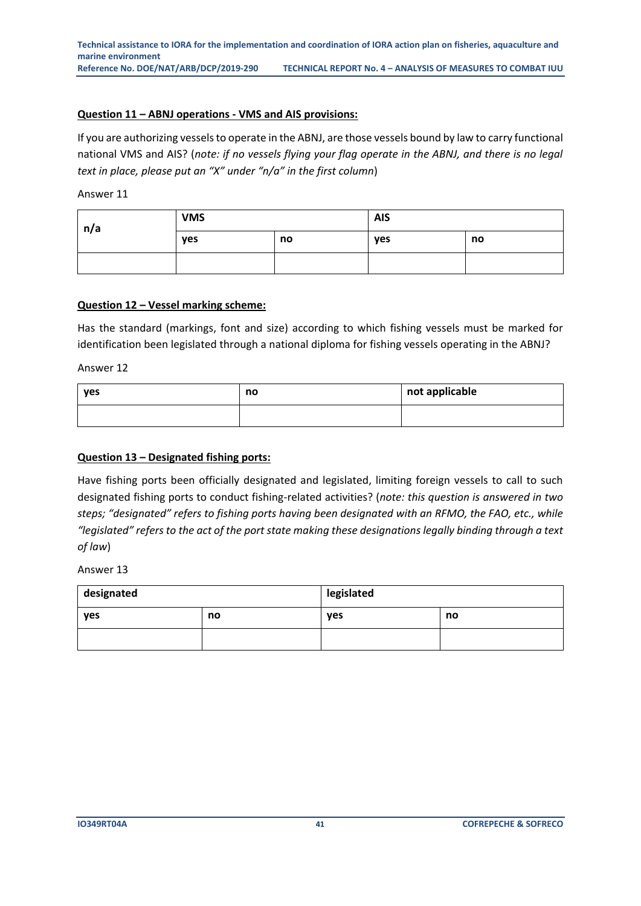#### **Question 11 – ABNJ operations - VMS and AIS provisions:**

If you are authorizing vessels to operate in the ABNJ, are those vessels bound by law to carry functional national VMS and AIS? (*note: if no vessels flying your flag operate in the ABNJ, and there is no legal text in place, please put an "X" under "n/a" in the first column*)

Answer 11

| n/a | <b>VMS</b> |    | <b>AIS</b> |    |
|-----|------------|----|------------|----|
|     | yes        | no | yes        | no |
|     |            |    |            |    |

#### **Question 12 – Vessel marking scheme:**

Has the standard (markings, font and size) according to which fishing vessels must be marked for identification been legislated through a national diploma for fishing vessels operating in the ABNJ?

Answer 12

| yes | no | not applicable |
|-----|----|----------------|
|     |    |                |

#### **Question 13 – Designated fishing ports:**

Have fishing ports been officially designated and legislated, limiting foreign vessels to call to such designated fishing ports to conduct fishing-related activities? (*note: this question is answered in two steps; "designated" refers to fishing ports having been designated with an RFMO, the FAO, etc., while "legislated" refers to the act of the port state making these designations legally binding through a text of law*)

| designated |    | legislated |    |
|------------|----|------------|----|
| yes        | no | yes        | no |
|            |    |            |    |